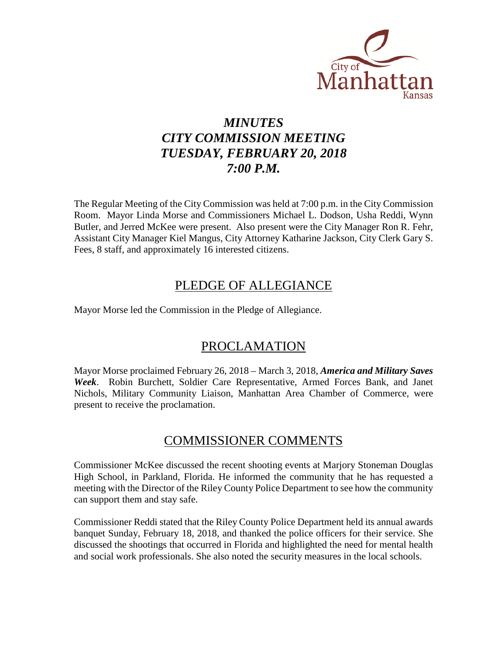

# *MINUTES CITY COMMISSION MEETING TUESDAY, FEBRUARY 20, 2018 7:00 P.M.*

The Regular Meeting of the City Commission was held at 7:00 p.m. in the City Commission Room. Mayor Linda Morse and Commissioners Michael L. Dodson, Usha Reddi, Wynn Butler, and Jerred McKee were present. Also present were the City Manager Ron R. Fehr, Assistant City Manager Kiel Mangus, City Attorney Katharine Jackson, City Clerk Gary S. Fees, 8 staff, and approximately 16 interested citizens.

# PLEDGE OF ALLEGIANCE

Mayor Morse led the Commission in the Pledge of Allegiance.

# PROCLAMATION

Mayor Morse proclaimed February 26, 2018 – March 3, 2018, *America and Military Saves Week*. Robin Burchett, Soldier Care Representative, Armed Forces Bank, and Janet Nichols, Military Community Liaison, Manhattan Area Chamber of Commerce, were present to receive the proclamation.

# COMMISSIONER COMMENTS

Commissioner McKee discussed the recent shooting events at Marjory Stoneman Douglas High School, in Parkland, Florida. He informed the community that he has requested a meeting with the Director of the Riley County Police Department to see how the community can support them and stay safe.

Commissioner Reddi stated that the Riley County Police Department held its annual awards banquet Sunday, February 18, 2018, and thanked the police officers for their service. She discussed the shootings that occurred in Florida and highlighted the need for mental health and social work professionals. She also noted the security measures in the local schools.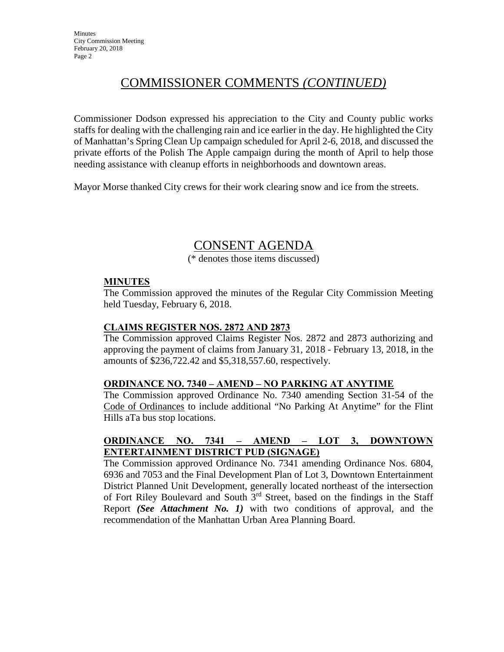# COMMISSIONER COMMENTS *(CONTINUED)*

Commissioner Dodson expressed his appreciation to the City and County public works staffs for dealing with the challenging rain and ice earlier in the day. He highlighted the City of Manhattan's Spring Clean Up campaign scheduled for April 2-6, 2018, and discussed the private efforts of the Polish The Apple campaign during the month of April to help those needing assistance with cleanup efforts in neighborhoods and downtown areas.

Mayor Morse thanked City crews for their work clearing snow and ice from the streets.

# CONSENT AGENDA

(\* denotes those items discussed)

# **MINUTES**

The Commission approved the minutes of the Regular City Commission Meeting held Tuesday, February 6, 2018.

# **CLAIMS REGISTER NOS. 2872 AND 2873**

The Commission approved Claims Register Nos. 2872 and 2873 authorizing and approving the payment of claims from January 31, 2018 - February 13, 2018, in the amounts of \$236,722.42 and \$5,318,557.60, respectively.

# **ORDINANCE NO. 7340 – AMEND – NO PARKING AT ANYTIME**

The Commission approved Ordinance No. 7340 amending Section 31-54 of the Code of Ordinances to include additional "No Parking At Anytime" for the Flint Hills aTa bus stop locations.

# **ORDINANCE NO. 7341 – AMEND – LOT 3, DOWNTOWN ENTERTAINMENT DISTRICT PUD (SIGNAGE)**

The Commission approved Ordinance No. 7341 amending Ordinance Nos. 6804, 6936 and 7053 and the Final Development Plan of Lot 3, Downtown Entertainment District Planned Unit Development, generally located northeast of the intersection of Fort Riley Boulevard and South  $3<sup>rd</sup>$  Street, based on the findings in the Staff Report *(See Attachment No. 1)* with two conditions of approval, and the recommendation of the Manhattan Urban Area Planning Board.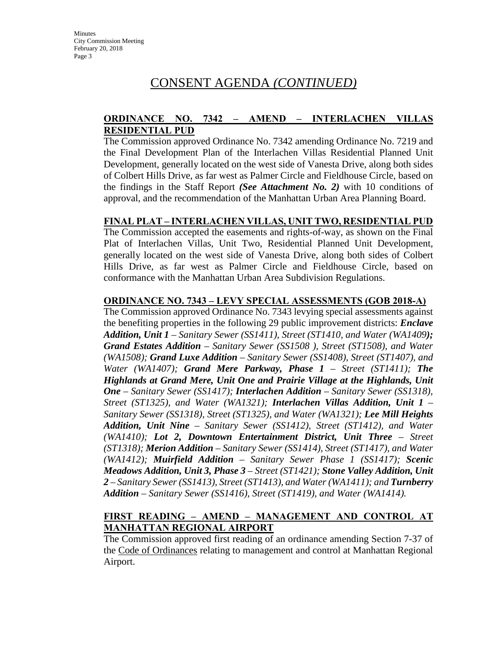# **ORDINANCE NO. 7342 – AMEND – INTERLACHEN VILLAS RESIDENTIAL PUD**

The Commission approved Ordinance No. 7342 amending Ordinance No. 7219 and the Final Development Plan of the Interlachen Villas Residential Planned Unit Development, generally located on the west side of Vanesta Drive, along both sides of Colbert Hills Drive, as far west as Palmer Circle and Fieldhouse Circle, based on the findings in the Staff Report *(See Attachment No. 2)* with 10 conditions of approval, and the recommendation of the Manhattan Urban Area Planning Board.

# **FINAL PLAT – INTERLACHEN VILLAS, UNIT TWO, RESIDENTIAL PUD**

The Commission accepted the easements and rights-of-way, as shown on the Final Plat of Interlachen Villas, Unit Two, Residential Planned Unit Development, generally located on the west side of Vanesta Drive, along both sides of Colbert Hills Drive, as far west as Palmer Circle and Fieldhouse Circle, based on conformance with the Manhattan Urban Area Subdivision Regulations.

# **ORDINANCE NO. 7343 – LEVY SPECIAL ASSESSMENTS (GOB 2018-A)**

The Commission approved Ordinance No. 7343 levying special assessments against the benefiting properties in the following 29 public improvement districts: *Enclave Addition, Unit 1 – Sanitary Sewer (SS1411), Street (ST1410, and Water (WA1409); Grand Estates Addition – Sanitary Sewer (SS1508 ), Street (ST1508), and Water (WA1508); Grand Luxe Addition* – *Sanitary Sewer (SS1408), Street (ST1407), and Water (WA1407); Grand Mere Parkway, Phase 1* – *Street (ST1411); The Highlands at Grand Mere, Unit One and Prairie Village at the Highlands, Unit One* – *Sanitary Sewer (SS1417); Interlachen Addition – Sanitary Sewer (SS1318), Street (ST1325), and Water (WA1321); Interlachen Villas Addition, Unit 1 – Sanitary Sewer (SS1318), Street (ST1325), and Water (WA1321); Lee Mill Heights Addition, Unit Nine – Sanitary Sewer (SS1412), Street (ST1412), and Water (WA1410); Lot 2, Downtown Entertainment District, Unit Three – Street (ST1318); Merion Addition – Sanitary Sewer (SS1414), Street (ST1417), and Water (WA1412); Muirfield Addition – Sanitary Sewer Phase 1 (SS1417); Scenic Meadows Addition, Unit 3, Phase 3 – Street (ST1421); Stone Valley Addition, Unit*  2 – Sanitary Sewer (SS1413), Street (ST1413), and Water (WA1411); and **Turnberry** *Addition – Sanitary Sewer (SS1416), Street (ST1419), and Water (WA1414).*

# **FIRST READING – AMEND – MANAGEMENT AND CONTROL AT MANHATTAN REGIONAL AIRPORT**

The Commission approved first reading of an ordinance amending Section 7-37 of the Code of Ordinances relating to management and control at Manhattan Regional Airport.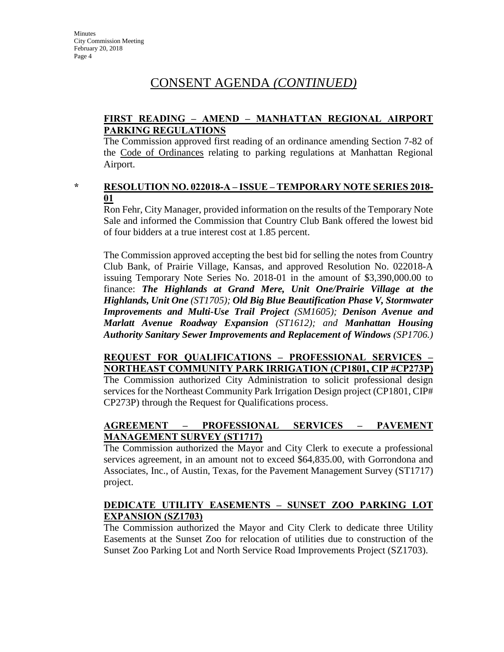# **FIRST READING – AMEND – MANHATTAN REGIONAL AIRPORT PARKING REGULATIONS**

The Commission approved first reading of an ordinance amending Section 7-82 of the Code of Ordinances relating to parking regulations at Manhattan Regional Airport.

### **\* RESOLUTION NO. 022018-A – ISSUE – TEMPORARY NOTE SERIES 2018- 01**

Ron Fehr, City Manager, provided information on the results of the Temporary Note Sale and informed the Commission that Country Club Bank offered the lowest bid of four bidders at a true interest cost at 1.85 percent.

The Commission approved accepting the best bid for selling the notes from Country Club Bank, of Prairie Village, Kansas, and approved Resolution No. 022018-A issuing Temporary Note Series No. 2018-01 in the amount of \$3,390,000.00 to finance: *The Highlands at Grand Mere, Unit One/Prairie Village at the Highlands, Unit One (ST1705); Old Big Blue Beautification Phase V, Stormwater Improvements and Multi-Use Trail Project (SM1605); Denison Avenue and Marlatt Avenue Roadway Expansion (ST1612); and Manhattan Housing Authority Sanitary Sewer Improvements and Replacement of Windows (SP1706.)*

# **REQUEST FOR QUALIFICATIONS – PROFESSIONAL SERVICES – NORTHEAST COMMUNITY PARK IRRIGATION (CP1801, CIP #CP273P)**

The Commission authorized City Administration to solicit professional design services for the Northeast Community Park Irrigation Design project (CP1801, CIP# CP273P) through the Request for Qualifications process.

# **AGREEMENT – PROFESSIONAL SERVICES – PAVEMENT MANAGEMENT SURVEY (ST1717)**

The Commission authorized the Mayor and City Clerk to execute a professional services agreement, in an amount not to exceed \$64,835.00, with Gorrondona and Associates, Inc., of Austin, Texas, for the Pavement Management Survey (ST1717) project.

# **DEDICATE UTILITY EASEMENTS – SUNSET ZOO PARKING LOT EXPANSION (SZ1703)**

The Commission authorized the Mayor and City Clerk to dedicate three Utility Easements at the Sunset Zoo for relocation of utilities due to construction of the Sunset Zoo Parking Lot and North Service Road Improvements Project (SZ1703).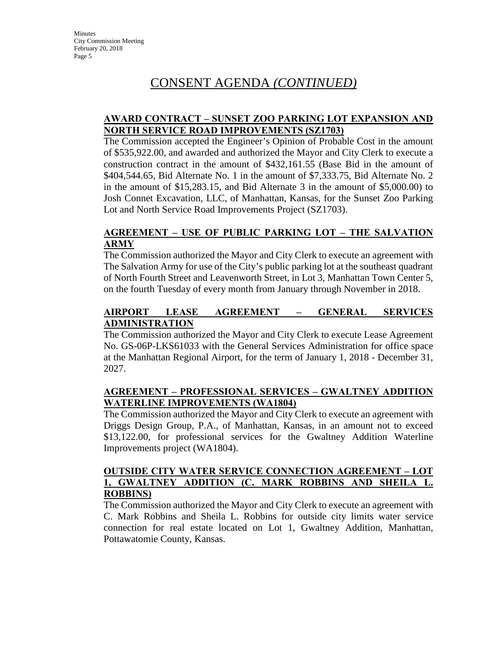# **AWARD CONTRACT – SUNSET ZOO PARKING LOT EXPANSION AND NORTH SERVICE ROAD IMPROVEMENTS (SZ1703)**

The Commission accepted the Engineer's Opinion of Probable Cost in the amount of \$535,922.00, and awarded and authorized the Mayor and City Clerk to execute a construction contract in the amount of \$432,161.55 (Base Bid in the amount of \$404,544.65, Bid Alternate No. 1 in the amount of \$7,333.75, Bid Alternate No. 2 in the amount of \$15,283.15, and Bid Alternate 3 in the amount of \$5,000.00) to Josh Connet Excavation, LLC, of Manhattan, Kansas, for the Sunset Zoo Parking Lot and North Service Road Improvements Project (SZ1703).

# **AGREEMENT – USE OF PUBLIC PARKING LOT – THE SALVATION ARMY**

The Commission authorized the Mayor and City Clerk to execute an agreement with The Salvation Army for use of the City's public parking lot at the southeast quadrant of North Fourth Street and Leavenworth Street, in Lot 3, Manhattan Town Center 5, on the fourth Tuesday of every month from January through November in 2018.

# **AIRPORT LEASE AGREEMENT – GENERAL SERVICES ADMINISTRATION**

The Commission authorized the Mayor and City Clerk to execute Lease Agreement No. GS-06P-LKS61033 with the General Services Administration for office space at the Manhattan Regional Airport, for the term of January 1, 2018 - December 31, 2027.

# **AGREEMENT – PROFESSIONAL SERVICES – GWALTNEY ADDITION WATERLINE IMPROVEMENTS (WA1804)**

The Commission authorized the Mayor and City Clerk to execute an agreement with Driggs Design Group, P.A., of Manhattan, Kansas, in an amount not to exceed \$13,122.00, for professional services for the Gwaltney Addition Waterline Improvements project (WA1804).

# **OUTSIDE CITY WATER SERVICE CONNECTION AGREEMENT – LOT 1, GWALTNEY ADDITION (C. MARK ROBBINS AND SHEILA L. ROBBINS)**

The Commission authorized the Mayor and City Clerk to execute an agreement with C. Mark Robbins and Sheila L. Robbins for outside city limits water service connection for real estate located on Lot 1, Gwaltney Addition, Manhattan, Pottawatomie County, Kansas.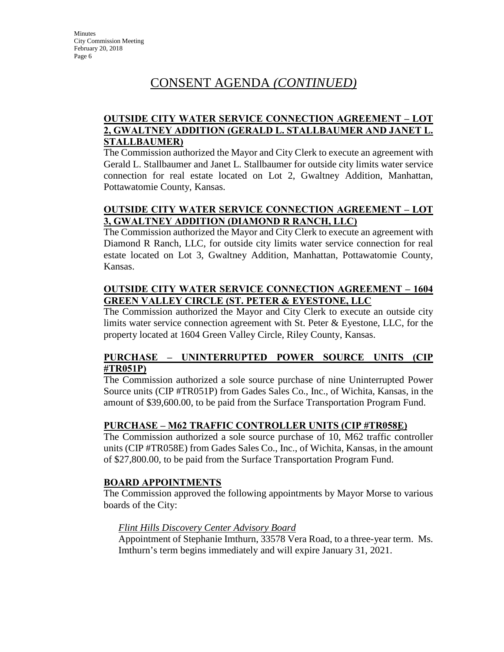# **OUTSIDE CITY WATER SERVICE CONNECTION AGREEMENT – LOT 2, GWALTNEY ADDITION (GERALD L. STALLBAUMER AND JANET L. STALLBAUMER)**

The Commission authorized the Mayor and City Clerk to execute an agreement with Gerald L. Stallbaumer and Janet L. Stallbaumer for outside city limits water service connection for real estate located on Lot 2, Gwaltney Addition, Manhattan, Pottawatomie County, Kansas.

# **OUTSIDE CITY WATER SERVICE CONNECTION AGREEMENT – LOT 3, GWALTNEY ADDITION (DIAMOND R RANCH, LLC)**

The Commission authorized the Mayor and City Clerk to execute an agreement with Diamond R Ranch, LLC, for outside city limits water service connection for real estate located on Lot 3, Gwaltney Addition, Manhattan, Pottawatomie County, Kansas.

# **OUTSIDE CITY WATER SERVICE CONNECTION AGREEMENT – 1604 GREEN VALLEY CIRCLE (ST. PETER & EYESTONE, LLC**

The Commission authorized the Mayor and City Clerk to execute an outside city limits water service connection agreement with St. Peter & Eyestone, LLC, for the property located at 1604 Green Valley Circle, Riley County, Kansas.

# **PURCHASE – UNINTERRUPTED POWER SOURCE UNITS (CIP #TR051P)**

The Commission authorized a sole source purchase of nine Uninterrupted Power Source units (CIP #TR051P) from Gades Sales Co., Inc., of Wichita, Kansas, in the amount of \$39,600.00, to be paid from the Surface Transportation Program Fund.

# **PURCHASE – M62 TRAFFIC CONTROLLER UNITS (CIP #TR058E)**

The Commission authorized a sole source purchase of 10, M62 traffic controller units (CIP #TR058E) from Gades Sales Co., Inc., of Wichita, Kansas, in the amount of \$27,800.00, to be paid from the Surface Transportation Program Fund.

# **BOARD APPOINTMENTS**

The Commission approved the following appointments by Mayor Morse to various boards of the City:

# *Flint Hills Discovery Center Advisory Board*

Appointment of Stephanie Imthurn, 33578 Vera Road, to a three-year term. Ms. Imthurn's term begins immediately and will expire January 31, 2021.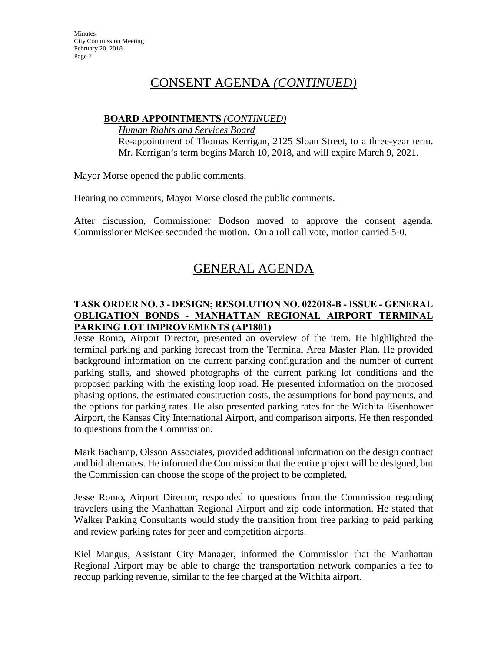# **BOARD APPOINTMENTS** *(CONTINUED)*

*Human Rights and Services Board* 

Re-appointment of Thomas Kerrigan, 2125 Sloan Street, to a three-year term. Mr. Kerrigan's term begins March 10, 2018, and will expire March 9, 2021.

Mayor Morse opened the public comments.

Hearing no comments, Mayor Morse closed the public comments.

After discussion, Commissioner Dodson moved to approve the consent agenda. Commissioner McKee seconded the motion. On a roll call vote, motion carried 5-0.

# GENERAL AGENDA

# **TASK ORDER NO. 3 - DESIGN; RESOLUTION NO. 022018-B - ISSUE - GENERAL OBLIGATION BONDS - MANHATTAN REGIONAL AIRPORT TERMINAL PARKING LOT IMPROVEMENTS (AP1801)**

Jesse Romo, Airport Director, presented an overview of the item. He highlighted the terminal parking and parking forecast from the Terminal Area Master Plan. He provided background information on the current parking configuration and the number of current parking stalls, and showed photographs of the current parking lot conditions and the proposed parking with the existing loop road. He presented information on the proposed phasing options, the estimated construction costs, the assumptions for bond payments, and the options for parking rates. He also presented parking rates for the Wichita Eisenhower Airport, the Kansas City International Airport, and comparison airports. He then responded to questions from the Commission.

Mark Bachamp, Olsson Associates, provided additional information on the design contract and bid alternates. He informed the Commission that the entire project will be designed, but the Commission can choose the scope of the project to be completed.

Jesse Romo, Airport Director, responded to questions from the Commission regarding travelers using the Manhattan Regional Airport and zip code information. He stated that Walker Parking Consultants would study the transition from free parking to paid parking and review parking rates for peer and competition airports.

Kiel Mangus, Assistant City Manager, informed the Commission that the Manhattan Regional Airport may be able to charge the transportation network companies a fee to recoup parking revenue, similar to the fee charged at the Wichita airport.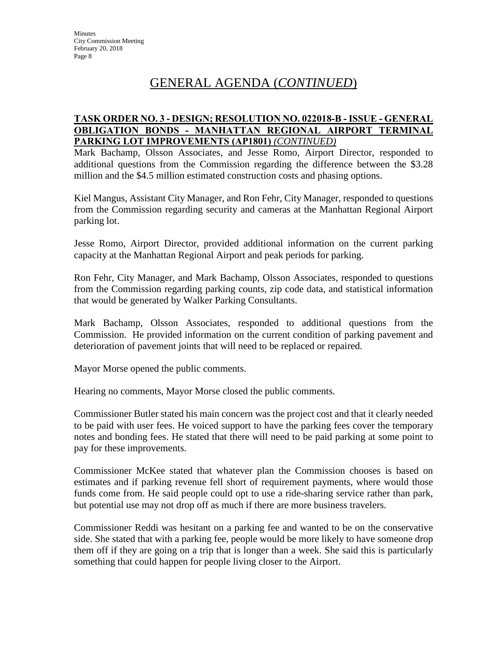# GENERAL AGENDA (*CONTINUED*)

## **TASK ORDER NO. 3 - DESIGN; RESOLUTION NO. 022018-B - ISSUE - GENERAL OBLIGATION BONDS - MANHATTAN REGIONAL AIRPORT TERMINAL PARKING LOT IMPROVEMENTS (AP1801)** *(CONTINUED)*

Mark Bachamp, Olsson Associates, and Jesse Romo, Airport Director, responded to additional questions from the Commission regarding the difference between the \$3.28 million and the \$4.5 million estimated construction costs and phasing options.

Kiel Mangus, Assistant City Manager, and Ron Fehr, City Manager, responded to questions from the Commission regarding security and cameras at the Manhattan Regional Airport parking lot.

Jesse Romo, Airport Director, provided additional information on the current parking capacity at the Manhattan Regional Airport and peak periods for parking.

Ron Fehr, City Manager, and Mark Bachamp, Olsson Associates, responded to questions from the Commission regarding parking counts, zip code data, and statistical information that would be generated by Walker Parking Consultants.

Mark Bachamp, Olsson Associates, responded to additional questions from the Commission. He provided information on the current condition of parking pavement and deterioration of pavement joints that will need to be replaced or repaired.

Mayor Morse opened the public comments.

Hearing no comments, Mayor Morse closed the public comments.

Commissioner Butler stated his main concern was the project cost and that it clearly needed to be paid with user fees. He voiced support to have the parking fees cover the temporary notes and bonding fees. He stated that there will need to be paid parking at some point to pay for these improvements.

Commissioner McKee stated that whatever plan the Commission chooses is based on estimates and if parking revenue fell short of requirement payments, where would those funds come from. He said people could opt to use a ride-sharing service rather than park, but potential use may not drop off as much if there are more business travelers.

Commissioner Reddi was hesitant on a parking fee and wanted to be on the conservative side. She stated that with a parking fee, people would be more likely to have someone drop them off if they are going on a trip that is longer than a week. She said this is particularly something that could happen for people living closer to the Airport.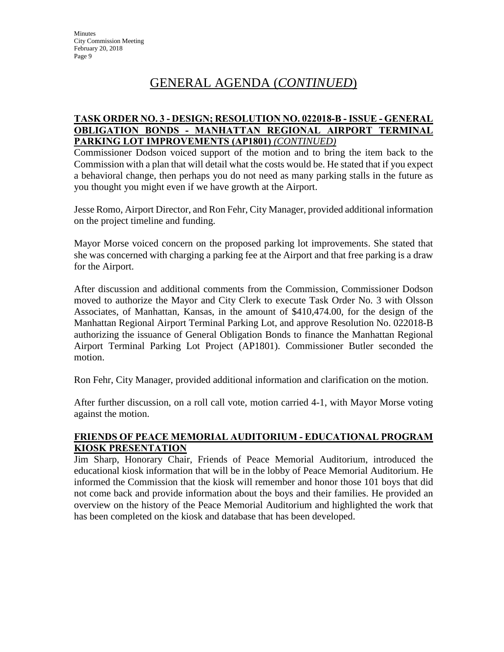# GENERAL AGENDA (*CONTINUED*)

## **TASK ORDER NO. 3 - DESIGN; RESOLUTION NO. 022018-B - ISSUE - GENERAL OBLIGATION BONDS - MANHATTAN REGIONAL AIRPORT TERMINAL PARKING LOT IMPROVEMENTS (AP1801)** *(CONTINUED)*

Commissioner Dodson voiced support of the motion and to bring the item back to the Commission with a plan that will detail what the costs would be. He stated that if you expect a behavioral change, then perhaps you do not need as many parking stalls in the future as you thought you might even if we have growth at the Airport.

Jesse Romo, Airport Director, and Ron Fehr, City Manager, provided additional information on the project timeline and funding.

Mayor Morse voiced concern on the proposed parking lot improvements. She stated that she was concerned with charging a parking fee at the Airport and that free parking is a draw for the Airport.

After discussion and additional comments from the Commission, Commissioner Dodson moved to authorize the Mayor and City Clerk to execute Task Order No. 3 with Olsson Associates, of Manhattan, Kansas, in the amount of \$410,474.00, for the design of the Manhattan Regional Airport Terminal Parking Lot, and approve Resolution No. 022018-B authorizing the issuance of General Obligation Bonds to finance the Manhattan Regional Airport Terminal Parking Lot Project (AP1801). Commissioner Butler seconded the motion.

Ron Fehr, City Manager, provided additional information and clarification on the motion.

After further discussion, on a roll call vote, motion carried 4-1, with Mayor Morse voting against the motion.

# **FRIENDS OF PEACE MEMORIAL AUDITORIUM - EDUCATIONAL PROGRAM KIOSK PRESENTATION**

Jim Sharp, Honorary Chair, Friends of Peace Memorial Auditorium, introduced the educational kiosk information that will be in the lobby of Peace Memorial Auditorium. He informed the Commission that the kiosk will remember and honor those 101 boys that did not come back and provide information about the boys and their families. He provided an overview on the history of the Peace Memorial Auditorium and highlighted the work that has been completed on the kiosk and database that has been developed.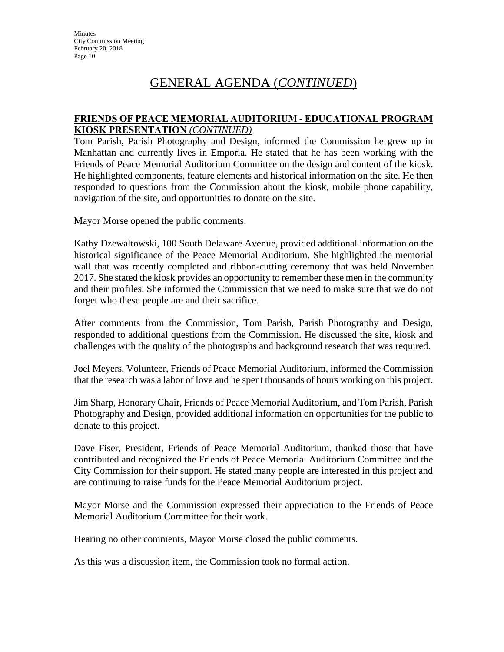# GENERAL AGENDA (*CONTINUED*)

## **FRIENDS OF PEACE MEMORIAL AUDITORIUM - EDUCATIONAL PROGRAM KIOSK PRESENTATION** *(CONTINUED)*

Tom Parish, Parish Photography and Design, informed the Commission he grew up in Manhattan and currently lives in Emporia. He stated that he has been working with the Friends of Peace Memorial Auditorium Committee on the design and content of the kiosk. He highlighted components, feature elements and historical information on the site. He then responded to questions from the Commission about the kiosk, mobile phone capability, navigation of the site, and opportunities to donate on the site.

Mayor Morse opened the public comments.

Kathy Dzewaltowski, 100 South Delaware Avenue, provided additional information on the historical significance of the Peace Memorial Auditorium. She highlighted the memorial wall that was recently completed and ribbon-cutting ceremony that was held November 2017. She stated the kiosk provides an opportunity to remember these men in the community and their profiles. She informed the Commission that we need to make sure that we do not forget who these people are and their sacrifice.

After comments from the Commission, Tom Parish, Parish Photography and Design, responded to additional questions from the Commission. He discussed the site, kiosk and challenges with the quality of the photographs and background research that was required.

Joel Meyers, Volunteer, Friends of Peace Memorial Auditorium, informed the Commission that the research was a labor of love and he spent thousands of hours working on this project.

Jim Sharp, Honorary Chair, Friends of Peace Memorial Auditorium, and Tom Parish, Parish Photography and Design, provided additional information on opportunities for the public to donate to this project.

Dave Fiser, President, Friends of Peace Memorial Auditorium, thanked those that have contributed and recognized the Friends of Peace Memorial Auditorium Committee and the City Commission for their support. He stated many people are interested in this project and are continuing to raise funds for the Peace Memorial Auditorium project.

Mayor Morse and the Commission expressed their appreciation to the Friends of Peace Memorial Auditorium Committee for their work.

Hearing no other comments, Mayor Morse closed the public comments.

As this was a discussion item, the Commission took no formal action.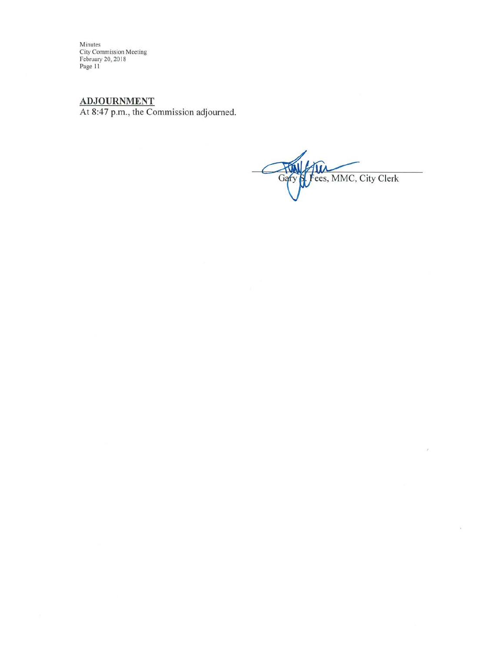Minutes<br>City Commission Meeting<br>February 20, 2018<br>Page 11

ADJOURNMENT<br>At 8:47 p.m., the Commission adjourned.

S. Fees, MMC, City Clerk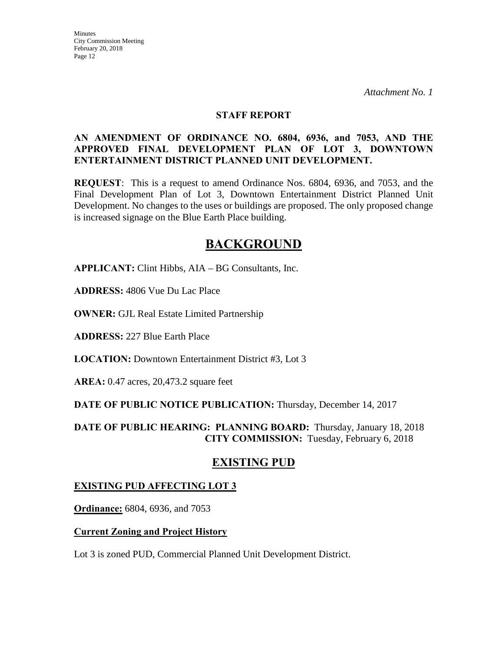#### **STAFF REPORT**

## **AN AMENDMENT OF ORDINANCE NO. 6804, 6936, and 7053, AND THE APPROVED FINAL DEVELOPMENT PLAN OF LOT 3, DOWNTOWN ENTERTAINMENT DISTRICT PLANNED UNIT DEVELOPMENT.**

**REQUEST**: This is a request to amend Ordinance Nos. 6804, 6936, and 7053, and the Final Development Plan of Lot 3, Downtown Entertainment District Planned Unit Development. No changes to the uses or buildings are proposed. The only proposed change is increased signage on the Blue Earth Place building.

# **BACKGROUND**

**APPLICANT:** Clint Hibbs, AIA – BG Consultants, Inc.

**ADDRESS:** 4806 Vue Du Lac Place

**OWNER:** GJL Real Estate Limited Partnership

**ADDRESS:** 227 Blue Earth Place

**LOCATION:** Downtown Entertainment District #3, Lot 3

**AREA:** 0.47 acres, 20,473.2 square feet

**DATE OF PUBLIC NOTICE PUBLICATION:** Thursday, December 14, 2017

**DATE OF PUBLIC HEARING: PLANNING BOARD:** Thursday, January 18, 2018 **CITY COMMISSION:** Tuesday, February 6, 2018

# **EXISTING PUD**

# **EXISTING PUD AFFECTING LOT 3**

**Ordinance:** 6804, 6936, and 7053

#### **Current Zoning and Project History**

Lot 3 is zoned PUD, Commercial Planned Unit Development District.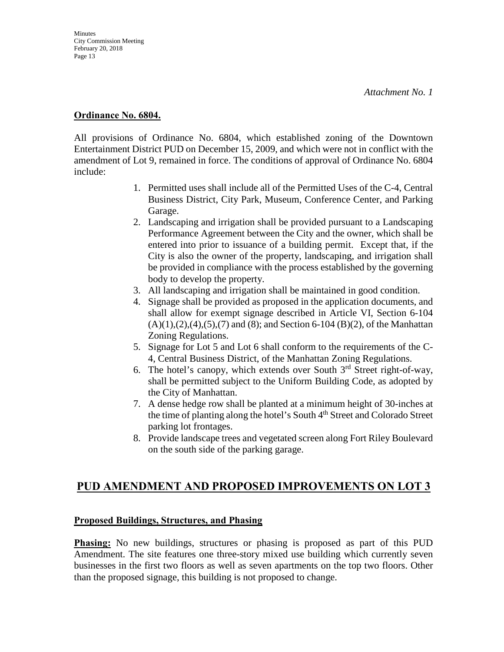## **Ordinance No. 6804.**

All provisions of Ordinance No. 6804, which established zoning of the Downtown Entertainment District PUD on December 15, 2009, and which were not in conflict with the amendment of Lot 9, remained in force. The conditions of approval of Ordinance No. 6804 include:

- 1. Permitted uses shall include all of the Permitted Uses of the C-4, Central Business District, City Park, Museum, Conference Center, and Parking Garage.
- 2. Landscaping and irrigation shall be provided pursuant to a Landscaping Performance Agreement between the City and the owner, which shall be entered into prior to issuance of a building permit. Except that, if the City is also the owner of the property, landscaping, and irrigation shall be provided in compliance with the process established by the governing body to develop the property.
- 3. All landscaping and irrigation shall be maintained in good condition.
- 4. Signage shall be provided as proposed in the application documents, and shall allow for exempt signage described in Article VI, Section 6-104  $(A)(1),(2),(4),(5),(7)$  and  $(8)$ ; and Section 6-104  $(B)(2)$ , of the Manhattan Zoning Regulations.
- 5. Signage for Lot 5 and Lot 6 shall conform to the requirements of the C-4, Central Business District, of the Manhattan Zoning Regulations.
- 6. The hotel's canopy, which extends over South  $3<sup>rd</sup>$  Street right-of-way, shall be permitted subject to the Uniform Building Code, as adopted by the City of Manhattan.
- 7. A dense hedge row shall be planted at a minimum height of 30-inches at the time of planting along the hotel's South 4<sup>th</sup> Street and Colorado Street parking lot frontages.
- 8. Provide landscape trees and vegetated screen along Fort Riley Boulevard on the south side of the parking garage.

# **PUD AMENDMENT AND PROPOSED IMPROVEMENTS ON LOT 3**

#### **Proposed Buildings, Structures, and Phasing**

**Phasing:** No new buildings, structures or phasing is proposed as part of this PUD Amendment. The site features one three-story mixed use building which currently seven businesses in the first two floors as well as seven apartments on the top two floors. Other than the proposed signage, this building is not proposed to change.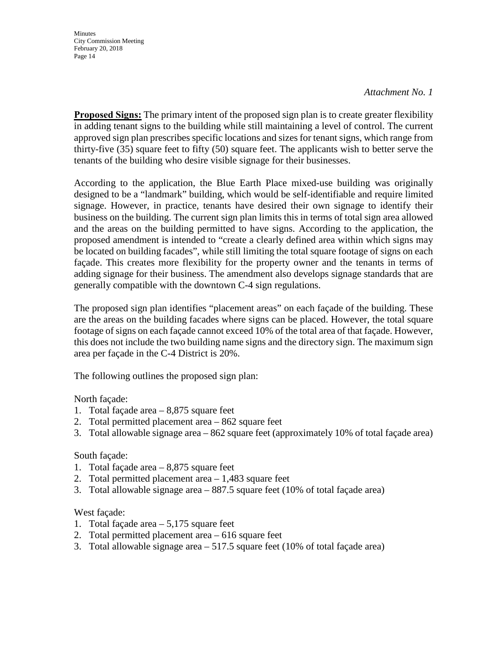#### *Attachment No. 1*

**Proposed Signs:** The primary intent of the proposed sign plan is to create greater flexibility in adding tenant signs to the building while still maintaining a level of control. The current approved sign plan prescribes specific locations and sizes for tenant signs, which range from thirty-five (35) square feet to fifty (50) square feet. The applicants wish to better serve the tenants of the building who desire visible signage for their businesses.

According to the application, the Blue Earth Place mixed-use building was originally designed to be a "landmark" building, which would be self-identifiable and require limited signage. However, in practice, tenants have desired their own signage to identify their business on the building. The current sign plan limits this in terms of total sign area allowed and the areas on the building permitted to have signs. According to the application, the proposed amendment is intended to "create a clearly defined area within which signs may be located on building facades", while still limiting the total square footage of signs on each façade. This creates more flexibility for the property owner and the tenants in terms of adding signage for their business. The amendment also develops signage standards that are generally compatible with the downtown C-4 sign regulations.

The proposed sign plan identifies "placement areas" on each façade of the building. These are the areas on the building facades where signs can be placed. However, the total square footage of signs on each façade cannot exceed 10% of the total area of that façade. However, this does not include the two building name signs and the directory sign. The maximum sign area per façade in the C-4 District is 20%.

The following outlines the proposed sign plan:

North façade:

- 1. Total façade area 8,875 square feet
- 2. Total permitted placement area 862 square feet
- 3. Total allowable signage area 862 square feet (approximately 10% of total façade area)

#### South façade:

- 1. Total façade area 8,875 square feet
- 2. Total permitted placement area 1,483 square feet
- 3. Total allowable signage area 887.5 square feet (10% of total façade area)

#### West façade:

- 1. Total façade area 5,175 square feet
- 2. Total permitted placement area 616 square feet
- 3. Total allowable signage area 517.5 square feet (10% of total façade area)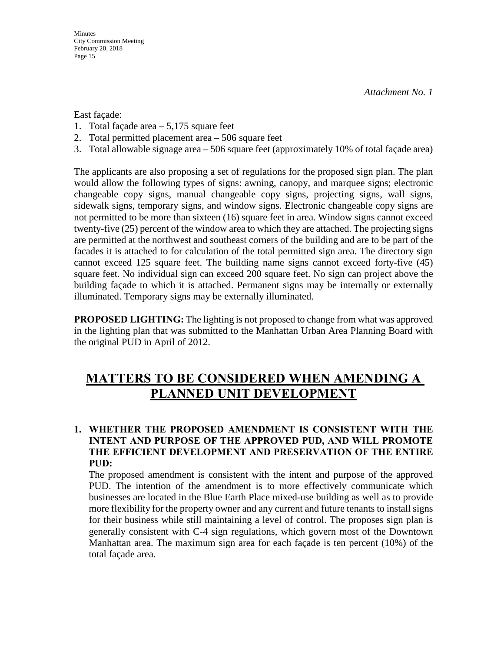East façade:

- 1. Total façade area 5,175 square feet
- 2. Total permitted placement area 506 square feet
- 3. Total allowable signage area 506 square feet (approximately 10% of total façade area)

The applicants are also proposing a set of regulations for the proposed sign plan. The plan would allow the following types of signs: awning, canopy, and marquee signs; electronic changeable copy signs, manual changeable copy signs, projecting signs, wall signs, sidewalk signs, temporary signs, and window signs. Electronic changeable copy signs are not permitted to be more than sixteen (16) square feet in area. Window signs cannot exceed twenty-five (25) percent of the window area to which they are attached. The projecting signs are permitted at the northwest and southeast corners of the building and are to be part of the facades it is attached to for calculation of the total permitted sign area. The directory sign cannot exceed 125 square feet. The building name signs cannot exceed forty-five (45) square feet. No individual sign can exceed 200 square feet. No sign can project above the building façade to which it is attached. Permanent signs may be internally or externally illuminated. Temporary signs may be externally illuminated.

**PROPOSED LIGHTING:** The lighting is not proposed to change from what was approved in the lighting plan that was submitted to the Manhattan Urban Area Planning Board with the original PUD in April of 2012.

# **MATTERS TO BE CONSIDERED WHEN AMENDING A PLANNED UNIT DEVELOPMENT**

# **1. WHETHER THE PROPOSED AMENDMENT IS CONSISTENT WITH THE INTENT AND PURPOSE OF THE APPROVED PUD, AND WILL PROMOTE THE EFFICIENT DEVELOPMENT AND PRESERVATION OF THE ENTIRE PUD:**

The proposed amendment is consistent with the intent and purpose of the approved PUD. The intention of the amendment is to more effectively communicate which businesses are located in the Blue Earth Place mixed-use building as well as to provide more flexibility for the property owner and any current and future tenants to install signs for their business while still maintaining a level of control. The proposes sign plan is generally consistent with C-4 sign regulations, which govern most of the Downtown Manhattan area. The maximum sign area for each façade is ten percent (10%) of the total façade area.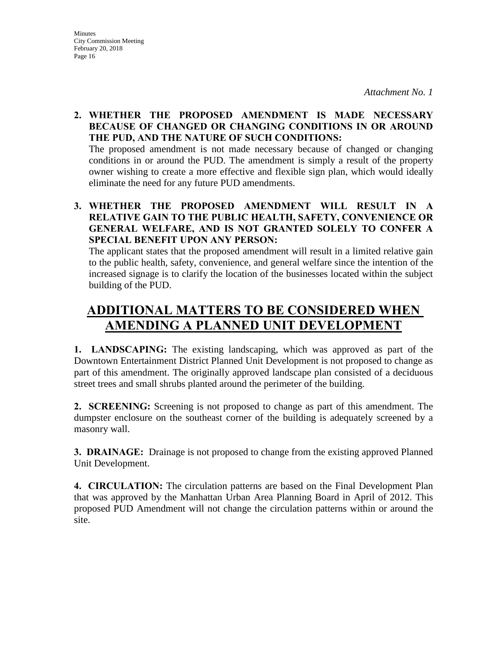# **2. WHETHER THE PROPOSED AMENDMENT IS MADE NECESSARY BECAUSE OF CHANGED OR CHANGING CONDITIONS IN OR AROUND THE PUD, AND THE NATURE OF SUCH CONDITIONS:**

The proposed amendment is not made necessary because of changed or changing conditions in or around the PUD. The amendment is simply a result of the property owner wishing to create a more effective and flexible sign plan, which would ideally eliminate the need for any future PUD amendments.

# **3. WHETHER THE PROPOSED AMENDMENT WILL RESULT IN A RELATIVE GAIN TO THE PUBLIC HEALTH, SAFETY, CONVENIENCE OR GENERAL WELFARE, AND IS NOT GRANTED SOLELY TO CONFER A SPECIAL BENEFIT UPON ANY PERSON:**

The applicant states that the proposed amendment will result in a limited relative gain to the public health, safety, convenience, and general welfare since the intention of the increased signage is to clarify the location of the businesses located within the subject building of the PUD.

# **ADDITIONAL MATTERS TO BE CONSIDERED WHEN AMENDING A PLANNED UNIT DEVELOPMENT**

**1. LANDSCAPING:** The existing landscaping, which was approved as part of the Downtown Entertainment District Planned Unit Development is not proposed to change as part of this amendment. The originally approved landscape plan consisted of a deciduous street trees and small shrubs planted around the perimeter of the building.

**2. SCREENING:** Screening is not proposed to change as part of this amendment. The dumpster enclosure on the southeast corner of the building is adequately screened by a masonry wall.

**3. DRAINAGE:** Drainage is not proposed to change from the existing approved Planned Unit Development.

**4. CIRCULATION:** The circulation patterns are based on the Final Development Plan that was approved by the Manhattan Urban Area Planning Board in April of 2012. This proposed PUD Amendment will not change the circulation patterns within or around the site.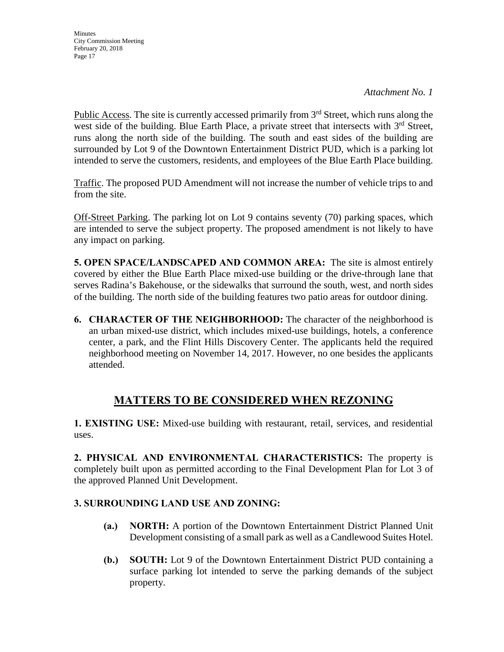Public Access. The site is currently accessed primarily from  $3<sup>rd</sup>$  Street, which runs along the west side of the building. Blue Earth Place, a private street that intersects with  $3<sup>rd</sup>$  Street, runs along the north side of the building. The south and east sides of the building are surrounded by Lot 9 of the Downtown Entertainment District PUD, which is a parking lot intended to serve the customers, residents, and employees of the Blue Earth Place building.

Traffic. The proposed PUD Amendment will not increase the number of vehicle trips to and from the site.

Off-Street Parking. The parking lot on Lot 9 contains seventy (70) parking spaces, which are intended to serve the subject property. The proposed amendment is not likely to have any impact on parking.

**5. OPEN SPACE/LANDSCAPED AND COMMON AREA:** The site is almost entirely covered by either the Blue Earth Place mixed-use building or the drive-through lane that serves Radina's Bakehouse, or the sidewalks that surround the south, west, and north sides of the building. The north side of the building features two patio areas for outdoor dining.

**6. CHARACTER OF THE NEIGHBORHOOD:** The character of the neighborhood is an urban mixed-use district, which includes mixed-use buildings, hotels, a conference center, a park, and the Flint Hills Discovery Center. The applicants held the required neighborhood meeting on November 14, 2017. However, no one besides the applicants attended.

# **MATTERS TO BE CONSIDERED WHEN REZONING**

**1. EXISTING USE:** Mixed-use building with restaurant, retail, services, and residential uses.

**2. PHYSICAL AND ENVIRONMENTAL CHARACTERISTICS:** The property is completely built upon as permitted according to the Final Development Plan for Lot 3 of the approved Planned Unit Development.

# **3. SURROUNDING LAND USE AND ZONING:**

- **(a.) NORTH:** A portion of the Downtown Entertainment District Planned Unit Development consisting of a small park as well as a Candlewood Suites Hotel.
- **(b.) SOUTH:** Lot 9 of the Downtown Entertainment District PUD containing a surface parking lot intended to serve the parking demands of the subject property.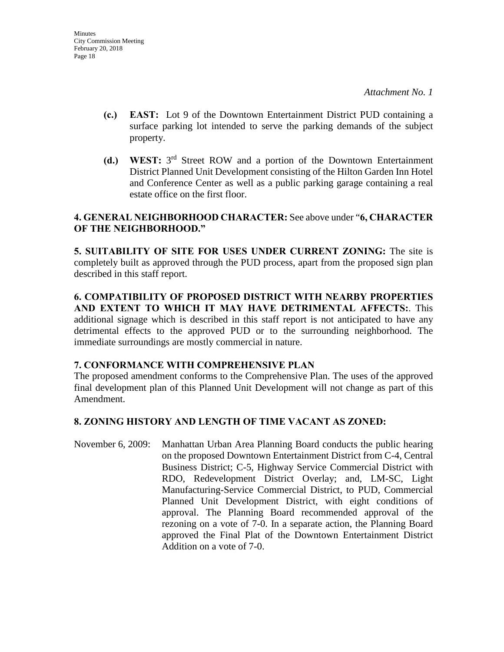- **(c.) EAST:** Lot 9 of the Downtown Entertainment District PUD containing a surface parking lot intended to serve the parking demands of the subject property.
- **(d.) WEST:** 3rd Street ROW and a portion of the Downtown Entertainment District Planned Unit Development consisting of the Hilton Garden Inn Hotel and Conference Center as well as a public parking garage containing a real estate office on the first floor.

# **4. GENERAL NEIGHBORHOOD CHARACTER:** See above under "**6, CHARACTER OF THE NEIGHBORHOOD."**

**5. SUITABILITY OF SITE FOR USES UNDER CURRENT ZONING:** The site is completely built as approved through the PUD process, apart from the proposed sign plan described in this staff report.

**6. COMPATIBILITY OF PROPOSED DISTRICT WITH NEARBY PROPERTIES AND EXTENT TO WHICH IT MAY HAVE DETRIMENTAL AFFECTS:**. This additional signage which is described in this staff report is not anticipated to have any detrimental effects to the approved PUD or to the surrounding neighborhood. The immediate surroundings are mostly commercial in nature.

# **7. CONFORMANCE WITH COMPREHENSIVE PLAN**

The proposed amendment conforms to the Comprehensive Plan. The uses of the approved final development plan of this Planned Unit Development will not change as part of this Amendment.

# **8. ZONING HISTORY AND LENGTH OF TIME VACANT AS ZONED:**

November 6, 2009: Manhattan Urban Area Planning Board conducts the public hearing on the proposed Downtown Entertainment District from C-4, Central Business District; C-5, Highway Service Commercial District with RDO, Redevelopment District Overlay; and, LM-SC, Light Manufacturing-Service Commercial District, to PUD, Commercial Planned Unit Development District, with eight conditions of approval. The Planning Board recommended approval of the rezoning on a vote of 7-0. In a separate action, the Planning Board approved the Final Plat of the Downtown Entertainment District Addition on a vote of 7-0.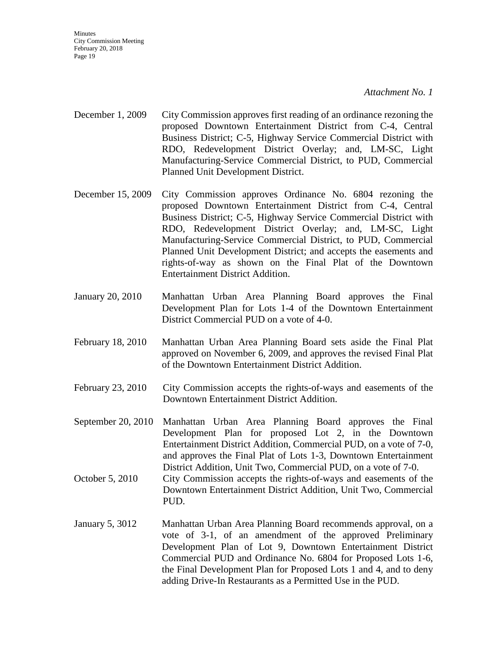#### *Attachment No. 1*

- December 1, 2009 City Commission approves first reading of an ordinance rezoning the proposed Downtown Entertainment District from C-4, Central Business District; C-5, Highway Service Commercial District with RDO, Redevelopment District Overlay; and, LM-SC, Light Manufacturing-Service Commercial District, to PUD, Commercial Planned Unit Development District.
- December 15, 2009 City Commission approves Ordinance No. 6804 rezoning the proposed Downtown Entertainment District from C-4, Central Business District; C-5, Highway Service Commercial District with RDO, Redevelopment District Overlay; and, LM-SC, Light Manufacturing-Service Commercial District, to PUD, Commercial Planned Unit Development District; and accepts the easements and rights-of-way as shown on the Final Plat of the Downtown Entertainment District Addition.
- January 20, 2010 Manhattan Urban Area Planning Board approves the Final Development Plan for Lots 1-4 of the Downtown Entertainment District Commercial PUD on a vote of 4-0.
- February 18, 2010 Manhattan Urban Area Planning Board sets aside the Final Plat approved on November 6, 2009, and approves the revised Final Plat of the Downtown Entertainment District Addition.
- February 23, 2010 City Commission accepts the rights-of-ways and easements of the Downtown Entertainment District Addition.
- September 20, 2010 Manhattan Urban Area Planning Board approves the Final Development Plan for proposed Lot 2, in the Downtown Entertainment District Addition, Commercial PUD, on a vote of 7-0, and approves the Final Plat of Lots 1-3, Downtown Entertainment District Addition, Unit Two, Commercial PUD, on a vote of 7-0.
- October 5, 2010 City Commission accepts the rights-of-ways and easements of the Downtown Entertainment District Addition, Unit Two, Commercial PUD.
- January 5, 3012 Manhattan Urban Area Planning Board recommends approval, on a vote of 3-1, of an amendment of the approved Preliminary Development Plan of Lot 9, Downtown Entertainment District Commercial PUD and Ordinance No. 6804 for Proposed Lots 1-6, the Final Development Plan for Proposed Lots 1 and 4, and to deny adding Drive-In Restaurants as a Permitted Use in the PUD.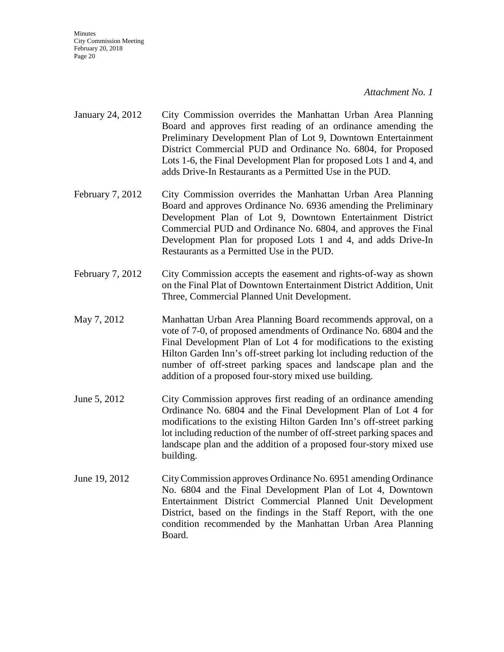#### *Attachment No. 1*

- January 24, 2012 City Commission overrides the Manhattan Urban Area Planning Board and approves first reading of an ordinance amending the Preliminary Development Plan of Lot 9, Downtown Entertainment District Commercial PUD and Ordinance No. 6804, for Proposed Lots 1-6, the Final Development Plan for proposed Lots 1 and 4, and adds Drive-In Restaurants as a Permitted Use in the PUD.
- February 7, 2012 City Commission overrides the Manhattan Urban Area Planning Board and approves Ordinance No. 6936 amending the Preliminary Development Plan of Lot 9, Downtown Entertainment District Commercial PUD and Ordinance No. 6804, and approves the Final Development Plan for proposed Lots 1 and 4, and adds Drive-In Restaurants as a Permitted Use in the PUD.
- February 7, 2012 City Commission accepts the easement and rights-of-way as shown on the Final Plat of Downtown Entertainment District Addition, Unit Three, Commercial Planned Unit Development.
- May 7, 2012 Manhattan Urban Area Planning Board recommends approval, on a vote of 7-0, of proposed amendments of Ordinance No. 6804 and the Final Development Plan of Lot 4 for modifications to the existing Hilton Garden Inn's off-street parking lot including reduction of the number of off-street parking spaces and landscape plan and the addition of a proposed four-story mixed use building.
- June 5, 2012 City Commission approves first reading of an ordinance amending Ordinance No. 6804 and the Final Development Plan of Lot 4 for modifications to the existing Hilton Garden Inn's off-street parking lot including reduction of the number of off-street parking spaces and landscape plan and the addition of a proposed four-story mixed use building.
- June 19, 2012 City Commission approves Ordinance No. 6951 amending Ordinance No. 6804 and the Final Development Plan of Lot 4, Downtown Entertainment District Commercial Planned Unit Development District, based on the findings in the Staff Report, with the one condition recommended by the Manhattan Urban Area Planning Board.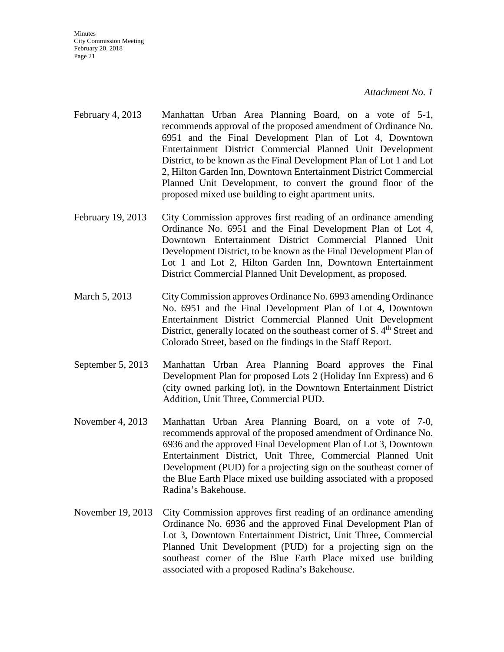*Attachment No. 1*

- February 4, 2013 Manhattan Urban Area Planning Board, on a vote of 5-1, recommends approval of the proposed amendment of Ordinance No. 6951 and the Final Development Plan of Lot 4, Downtown Entertainment District Commercial Planned Unit Development District, to be known as the Final Development Plan of Lot 1 and Lot 2, Hilton Garden Inn, Downtown Entertainment District Commercial Planned Unit Development, to convert the ground floor of the proposed mixed use building to eight apartment units.
- February 19, 2013 City Commission approves first reading of an ordinance amending Ordinance No. 6951 and the Final Development Plan of Lot 4, Downtown Entertainment District Commercial Planned Unit Development District, to be known as the Final Development Plan of Lot 1 and Lot 2, Hilton Garden Inn, Downtown Entertainment District Commercial Planned Unit Development, as proposed.
- March 5, 2013 City Commission approves Ordinance No. 6993 amending Ordinance No. 6951 and the Final Development Plan of Lot 4, Downtown Entertainment District Commercial Planned Unit Development District, generally located on the southeast corner of S. 4<sup>th</sup> Street and Colorado Street, based on the findings in the Staff Report.
- September 5, 2013 Manhattan Urban Area Planning Board approves the Final Development Plan for proposed Lots 2 (Holiday Inn Express) and 6 (city owned parking lot), in the Downtown Entertainment District Addition, Unit Three, Commercial PUD.
- November 4, 2013 Manhattan Urban Area Planning Board, on a vote of 7-0, recommends approval of the proposed amendment of Ordinance No. 6936 and the approved Final Development Plan of Lot 3, Downtown Entertainment District, Unit Three, Commercial Planned Unit Development (PUD) for a projecting sign on the southeast corner of the Blue Earth Place mixed use building associated with a proposed Radina's Bakehouse.
- November 19, 2013 City Commission approves first reading of an ordinance amending Ordinance No. 6936 and the approved Final Development Plan of Lot 3, Downtown Entertainment District, Unit Three, Commercial Planned Unit Development (PUD) for a projecting sign on the southeast corner of the Blue Earth Place mixed use building associated with a proposed Radina's Bakehouse.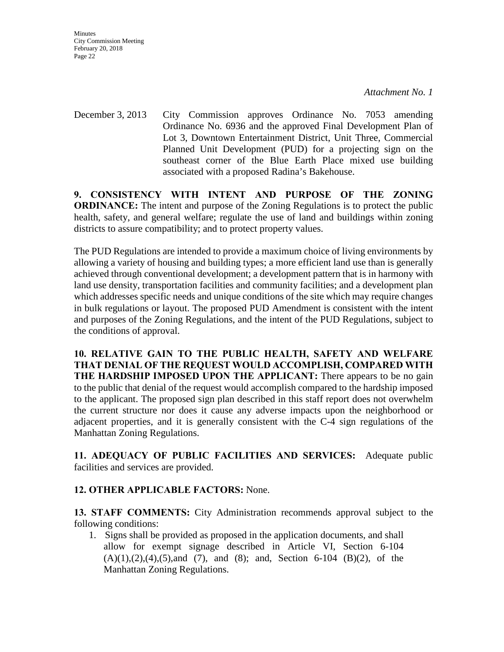**Minutes** City Commission Meeting February 20, 2018 Page 22

December 3, 2013 City Commission approves Ordinance No. 7053 amending Ordinance No. 6936 and the approved Final Development Plan of Lot 3, Downtown Entertainment District, Unit Three, Commercial Planned Unit Development (PUD) for a projecting sign on the southeast corner of the Blue Earth Place mixed use building associated with a proposed Radina's Bakehouse.

**9. CONSISTENCY WITH INTENT AND PURPOSE OF THE ZONING ORDINANCE:** The intent and purpose of the Zoning Regulations is to protect the public health, safety, and general welfare; regulate the use of land and buildings within zoning districts to assure compatibility; and to protect property values.

The PUD Regulations are intended to provide a maximum choice of living environments by allowing a variety of housing and building types; a more efficient land use than is generally achieved through conventional development; a development pattern that is in harmony with land use density, transportation facilities and community facilities; and a development plan which addresses specific needs and unique conditions of the site which may require changes in bulk regulations or layout. The proposed PUD Amendment is consistent with the intent and purposes of the Zoning Regulations, and the intent of the PUD Regulations, subject to the conditions of approval.

**10. RELATIVE GAIN TO THE PUBLIC HEALTH, SAFETY AND WELFARE THAT DENIAL OF THE REQUEST WOULD ACCOMPLISH, COMPARED WITH THE HARDSHIP IMPOSED UPON THE APPLICANT:** There appears to be no gain to the public that denial of the request would accomplish compared to the hardship imposed to the applicant. The proposed sign plan described in this staff report does not overwhelm the current structure nor does it cause any adverse impacts upon the neighborhood or adjacent properties, and it is generally consistent with the C-4 sign regulations of the Manhattan Zoning Regulations.

**11. ADEQUACY OF PUBLIC FACILITIES AND SERVICES:** Adequate public facilities and services are provided.

# **12. OTHER APPLICABLE FACTORS:** None.

**13. STAFF COMMENTS:** City Administration recommends approval subject to the following conditions:

1. Signs shall be provided as proposed in the application documents, and shall allow for exempt signage described in Article VI, Section 6-104  $(A)(1),(2),(4),(5)$ , and  $(7)$ , and  $(8)$ ; and, Section 6-104  $(B)(2)$ , of the Manhattan Zoning Regulations.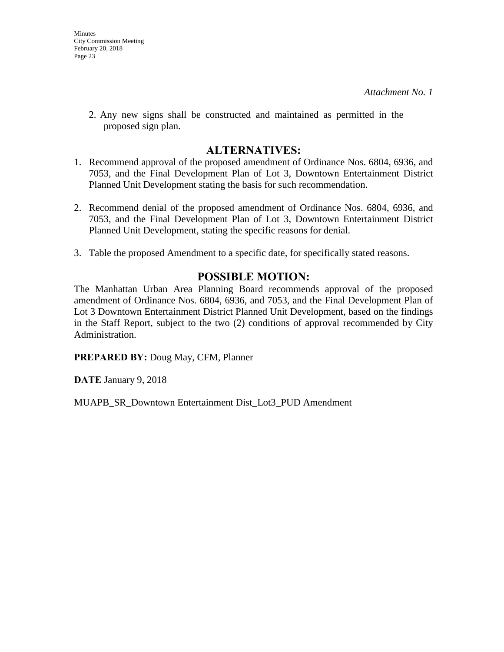2. Any new signs shall be constructed and maintained as permitted in the proposed sign plan.

# **ALTERNATIVES:**

- 1. Recommend approval of the proposed amendment of Ordinance Nos. 6804, 6936, and 7053, and the Final Development Plan of Lot 3, Downtown Entertainment District Planned Unit Development stating the basis for such recommendation.
- 2. Recommend denial of the proposed amendment of Ordinance Nos. 6804, 6936, and 7053, and the Final Development Plan of Lot 3, Downtown Entertainment District Planned Unit Development, stating the specific reasons for denial.
- 3. Table the proposed Amendment to a specific date, for specifically stated reasons.

# **POSSIBLE MOTION:**

The Manhattan Urban Area Planning Board recommends approval of the proposed amendment of Ordinance Nos. 6804, 6936, and 7053, and the Final Development Plan of Lot 3 Downtown Entertainment District Planned Unit Development, based on the findings in the Staff Report, subject to the two (2) conditions of approval recommended by City Administration.

**PREPARED BY:** Doug May, CFM, Planner

**DATE** January 9, 2018

MUAPB\_SR\_Downtown Entertainment Dist\_Lot3\_PUD Amendment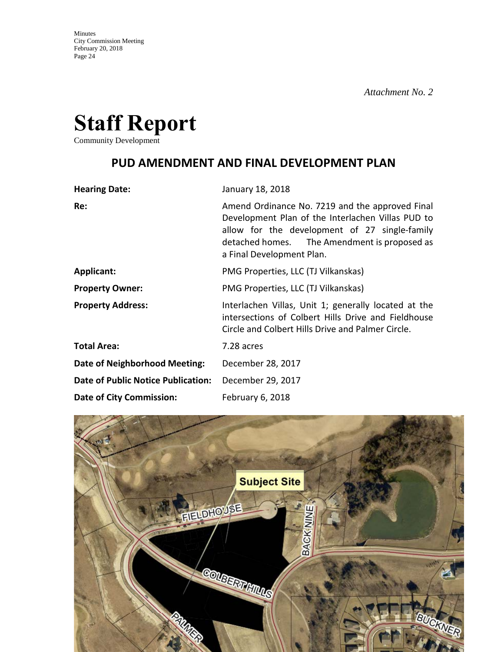

Community Development

# **PUD AMENDMENT AND FINAL DEVELOPMENT PLAN**

| <b>Hearing Date:</b>                      | January 18, 2018                                                                                                                                                                                                                   |
|-------------------------------------------|------------------------------------------------------------------------------------------------------------------------------------------------------------------------------------------------------------------------------------|
| Re:                                       | Amend Ordinance No. 7219 and the approved Final<br>Development Plan of the Interlachen Villas PUD to<br>allow for the development of 27 single-family<br>detached homes. The Amendment is proposed as<br>a Final Development Plan. |
| <b>Applicant:</b>                         | PMG Properties, LLC (TJ Vilkanskas)                                                                                                                                                                                                |
| <b>Property Owner:</b>                    | PMG Properties, LLC (TJ Vilkanskas)                                                                                                                                                                                                |
| <b>Property Address:</b>                  | Interlachen Villas, Unit 1; generally located at the<br>intersections of Colbert Hills Drive and Fieldhouse<br>Circle and Colbert Hills Drive and Palmer Circle.                                                                   |
| <b>Total Area:</b>                        | 7.28 acres                                                                                                                                                                                                                         |
| Date of Neighborhood Meeting:             | December 28, 2017                                                                                                                                                                                                                  |
| <b>Date of Public Notice Publication:</b> | December 29, 2017                                                                                                                                                                                                                  |
| <b>Date of City Commission:</b>           | February 6, 2018                                                                                                                                                                                                                   |

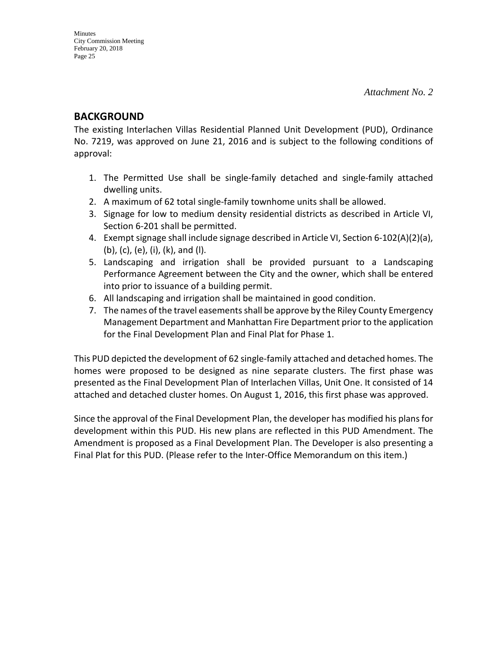# **BACKGROUND**

The existing Interlachen Villas Residential Planned Unit Development (PUD), Ordinance No. 7219, was approved on June 21, 2016 and is subject to the following conditions of approval:

- 1. The Permitted Use shall be single-family detached and single-family attached dwelling units.
- 2. A maximum of 62 total single-family townhome units shall be allowed.
- 3. Signage for low to medium density residential districts as described in Article VI, Section 6-201 shall be permitted.
- 4. Exempt signage shall include signage described in Article VI, Section 6-102(A)(2)(a), (b), (c), (e), (i), (k), and (l).
- 5. Landscaping and irrigation shall be provided pursuant to a Landscaping Performance Agreement between the City and the owner, which shall be entered into prior to issuance of a building permit.
- 6. All landscaping and irrigation shall be maintained in good condition.
- 7. The names of the travel easements shall be approve by the Riley County Emergency Management Department and Manhattan Fire Department prior to the application for the Final Development Plan and Final Plat for Phase 1.

This PUD depicted the development of 62 single-family attached and detached homes. The homes were proposed to be designed as nine separate clusters. The first phase was presented as the Final Development Plan of Interlachen Villas, Unit One. It consisted of 14 attached and detached cluster homes. On August 1, 2016, this first phase was approved.

Since the approval of the Final Development Plan, the developer has modified his plans for development within this PUD. His new plans are reflected in this PUD Amendment. The Amendment is proposed as a Final Development Plan. The Developer is also presenting a Final Plat for this PUD. (Please refer to the Inter-Office Memorandum on this item.)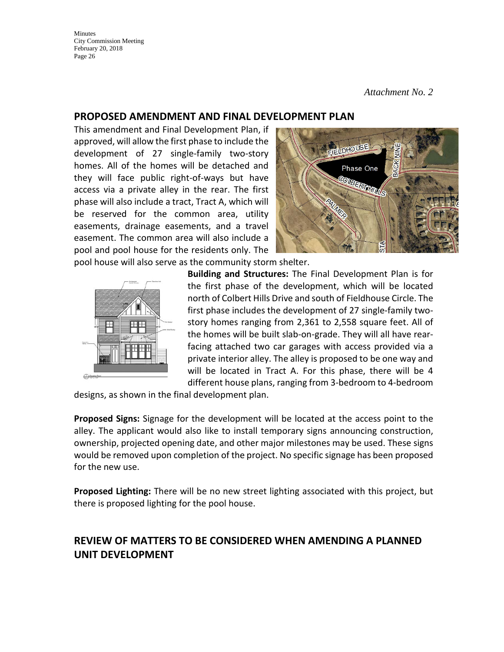*Attachment No. 2*

# **PROPOSED AMENDMENT AND FINAL DEVELOPMENT PLAN**

This amendment and Final Development Plan, if approved, will allow the first phase to include the development of 27 single-family two-story homes. All of the homes will be detached and they will face public right-of-ways but have access via a private alley in the rear. The first phase will also include a tract, Tract A, which will be reserved for the common area, utility easements, drainage easements, and a travel easement. The common area will also include a pool and pool house for the residents only. The



pool house will also serve as the community storm shelter.



**Building and Structures:** The Final Development Plan is for the first phase of the development, which will be located north of Colbert Hills Drive and south of Fieldhouse Circle. The first phase includes the development of 27 single-family twostory homes ranging from 2,361 to 2,558 square feet. All of the homes will be built slab-on-grade. They will all have rearfacing attached two car garages with access provided via a private interior alley. The alley is proposed to be one way and will be located in Tract A. For this phase, there will be 4 different house plans, ranging from 3-bedroom to 4-bedroom

designs, as shown in the final development plan.

**Proposed Signs:** Signage for the development will be located at the access point to the alley. The applicant would also like to install temporary signs announcing construction, ownership, projected opening date, and other major milestones may be used. These signs would be removed upon completion of the project. No specific signage has been proposed for the new use.

**Proposed Lighting:** There will be no new street lighting associated with this project, but there is proposed lighting for the pool house.

# **REVIEW OF MATTERS TO BE CONSIDERED WHEN AMENDING A PLANNED UNIT DEVELOPMENT**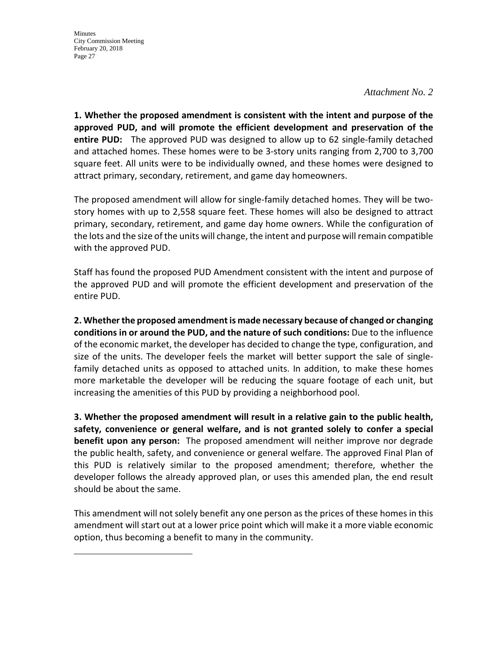#### *Attachment No. 2*

**1. Whether the proposed amendment is consistent with the intent and purpose of the approved PUD, and will promote the efficient development and preservation of the entire PUD:** The approved PUD was designed to allow up to 62 single-family detached and attached homes. These homes were to be 3-story units ranging from 2,700 to 3,700 square feet. All units were to be individually owned, and these homes were designed to attract primary, secondary, retirement, and game day homeowners.

The proposed amendment will allow for single-family detached homes. They will be twostory homes with up to 2,558 square feet. These homes will also be designed to attract primary, secondary, retirement, and game day home owners. While the configuration of the lots and the size of the units will change, the intent and purpose will remain compatible with the approved PUD.

Staff has found the proposed PUD Amendment consistent with the intent and purpose of the approved PUD and will promote the efficient development and preservation of the entire PUD.

**2. Whether the proposed amendment is made necessary because of changed or changing conditions in or around the PUD, and the nature of such conditions:** Due to the influence of the economic market, the developer has decided to change the type, configuration, and size of the units. The developer feels the market will better support the sale of singlefamily detached units as opposed to attached units. In addition, to make these homes more marketable the developer will be reducing the square footage of each unit, but increasing the amenities of this PUD by providing a neighborhood pool.

**3. Whether the proposed amendment will result in a relative gain to the public health, safety, convenience or general welfare, and is not granted solely to confer a special benefit upon any person:** The proposed amendment will neither improve nor degrade the public health, safety, and convenience or general welfare. The approved Final Plan of this PUD is relatively similar to the proposed amendment; therefore, whether the developer follows the already approved plan, or uses this amended plan, the end result should be about the same.

This amendment will not solely benefit any one person as the prices of these homes in this amendment will start out at a lower price point which will make it a more viable economic option, thus becoming a benefit to many in the community.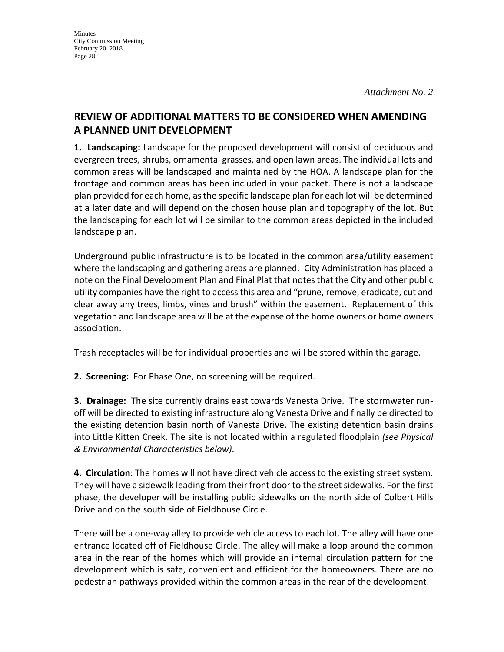# **REVIEW OF ADDITIONAL MATTERS TO BE CONSIDERED WHEN AMENDING A PLANNED UNIT DEVELOPMENT**

**1. Landscaping:** Landscape for the proposed development will consist of deciduous and evergreen trees, shrubs, ornamental grasses, and open lawn areas. The individual lots and common areas will be landscaped and maintained by the HOA. A landscape plan for the frontage and common areas has been included in your packet. There is not a landscape plan provided for each home, as the specific landscape plan for each lot will be determined at a later date and will depend on the chosen house plan and topography of the lot. But the landscaping for each lot will be similar to the common areas depicted in the included landscape plan.

Underground public infrastructure is to be located in the common area/utility easement where the landscaping and gathering areas are planned. City Administration has placed a note on the Final Development Plan and Final Plat that notes that the City and other public utility companies have the right to access this area and "prune, remove, eradicate, cut and clear away any trees, limbs, vines and brush" within the easement. Replacement of this vegetation and landscape area will be at the expense of the home owners or home owners association.

Trash receptacles will be for individual properties and will be stored within the garage.

**2. Screening:** For Phase One, no screening will be required.

**3. Drainage:** The site currently drains east towards Vanesta Drive. The stormwater runoff will be directed to existing infrastructure along Vanesta Drive and finally be directed to the existing detention basin north of Vanesta Drive. The existing detention basin drains into Little Kitten Creek. The site is not located within a regulated floodplain *(see Physical & Environmental Characteristics below)*.

**4. Circulation**: The homes will not have direct vehicle access to the existing street system. They will have a sidewalk leading from their front door to the street sidewalks. For the first phase, the developer will be installing public sidewalks on the north side of Colbert Hills Drive and on the south side of Fieldhouse Circle.

There will be a one-way alley to provide vehicle access to each lot. The alley will have one entrance located off of Fieldhouse Circle. The alley will make a loop around the common area in the rear of the homes which will provide an internal circulation pattern for the development which is safe, convenient and efficient for the homeowners. There are no pedestrian pathways provided within the common areas in the rear of the development.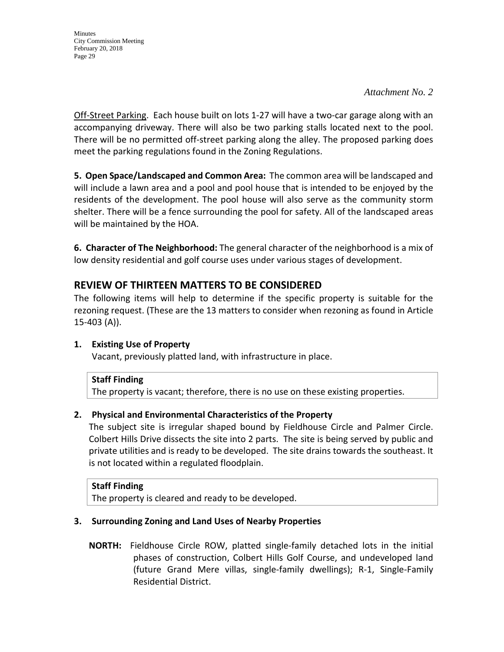*Attachment No. 2*

Off-Street Parking. Each house built on lots 1-27 will have a two-car garage along with an accompanying driveway. There will also be two parking stalls located next to the pool. There will be no permitted off-street parking along the alley. The proposed parking does meet the parking regulations found in the Zoning Regulations.

**5. Open Space/Landscaped and Common Area:** The common area will be landscaped and will include a lawn area and a pool and pool house that is intended to be enjoyed by the residents of the development. The pool house will also serve as the community storm shelter. There will be a fence surrounding the pool for safety. All of the landscaped areas will be maintained by the HOA.

**6. Character of The Neighborhood:** The general character of the neighborhood is a mix of low density residential and golf course uses under various stages of development.

# **REVIEW OF THIRTEEN MATTERS TO BE CONSIDERED**

The following items will help to determine if the specific property is suitable for the rezoning request. (These are the 13 matters to consider when rezoning as found in Article 15-403 (A)).

# **1. Existing Use of Property**

Vacant, previously platted land, with infrastructure in place.

# **Staff Finding**

The property is vacant; therefore, there is no use on these existing properties.

# **2. Physical and Environmental Characteristics of the Property**

The subject site is irregular shaped bound by Fieldhouse Circle and Palmer Circle. Colbert Hills Drive dissects the site into 2 parts. The site is being served by public and private utilities and is ready to be developed. The site drains towards the southeast. It is not located within a regulated floodplain.

# **Staff Finding**

The property is cleared and ready to be developed.

# **3. Surrounding Zoning and Land Uses of Nearby Properties**

 **NORTH:** Fieldhouse Circle ROW, platted single-family detached lots in the initial phases of construction, Colbert Hills Golf Course, and undeveloped land (future Grand Mere villas, single-family dwellings); R-1, Single-Family Residential District.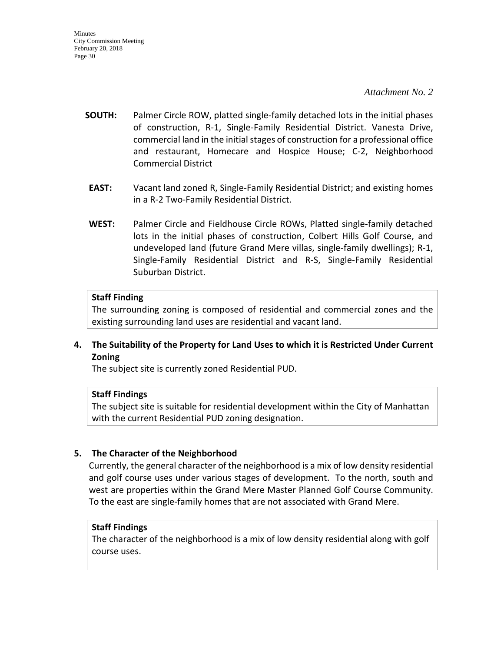- **SOUTH:** Palmer Circle ROW, platted single-family detached lots in the initial phases of construction, R-1, Single-Family Residential District. Vanesta Drive, commercial land in the initial stages of construction for a professional office and restaurant, Homecare and Hospice House; C-2, Neighborhood Commercial District
- **EAST:** Vacant land zoned R, Single-Family Residential District; and existing homes in a R-2 Two-Family Residential District.
- **WEST:** Palmer Circle and Fieldhouse Circle ROWs, Platted single-family detached lots in the initial phases of construction, Colbert Hills Golf Course, and undeveloped land (future Grand Mere villas, single-family dwellings); R-1, Single-Family Residential District and R-S, Single-Family Residential Suburban District.

#### **Staff Finding**

The surrounding zoning is composed of residential and commercial zones and the existing surrounding land uses are residential and vacant land.

# **4. The Suitability of the Property for Land Uses to which it is Restricted Under Current Zoning**

The subject site is currently zoned Residential PUD.

#### **Staff Findings**

The subject site is suitable for residential development within the City of Manhattan with the current Residential PUD zoning designation.

# **5. The Character of the Neighborhood**

Currently, the general character of the neighborhood is a mix of low density residential and golf course uses under various stages of development. To the north, south and west are properties within the Grand Mere Master Planned Golf Course Community. To the east are single-family homes that are not associated with Grand Mere.

#### **Staff Findings**

The character of the neighborhood is a mix of low density residential along with golf course uses.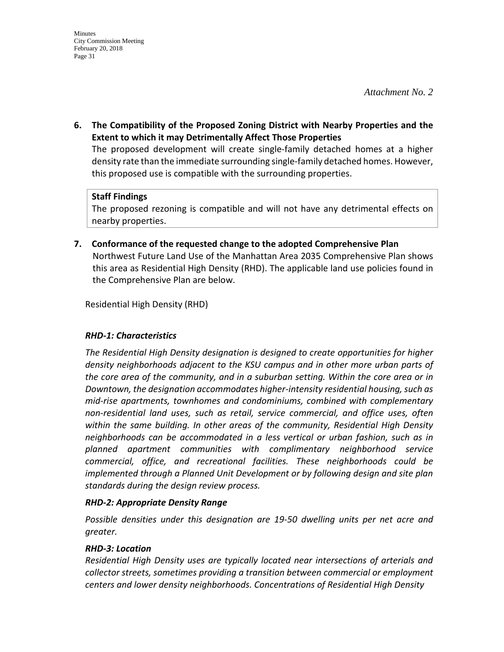**6. The Compatibility of the Proposed Zoning District with Nearby Properties and the Extent to which it may Detrimentally Affect Those Properties**

The proposed development will create single-family detached homes at a higher density rate than the immediate surrounding single-family detached homes. However, this proposed use is compatible with the surrounding properties.

# **Staff Findings**

The proposed rezoning is compatible and will not have any detrimental effects on nearby properties.

**7. Conformance of the requested change to the adopted Comprehensive Plan** Northwest Future Land Use of the Manhattan Area 2035 Comprehensive Plan shows this area as Residential High Density (RHD). The applicable land use policies found in the Comprehensive Plan are below.

Residential High Density (RHD)

# *RHD-1: Characteristics*

*The Residential High Density designation is designed to create opportunities for higher density neighborhoods adjacent to the KSU campus and in other more urban parts of the core area of the community, and in a suburban setting. Within the core area or in Downtown, the designation accommodates higher-intensity residential housing, such as mid-rise apartments, townhomes and condominiums, combined with complementary non-residential land uses, such as retail, service commercial, and office uses, often within the same building. In other areas of the community, Residential High Density neighborhoods can be accommodated in a less vertical or urban fashion, such as in planned apartment communities with complimentary neighborhood service commercial, office, and recreational facilities. These neighborhoods could be implemented through a Planned Unit Development or by following design and site plan standards during the design review process.* 

# *RHD-2: Appropriate Density Range*

*Possible densities under this designation are 19-50 dwelling units per net acre and greater.* 

# *RHD-3: Location*

*Residential High Density uses are typically located near intersections of arterials and collector streets, sometimes providing a transition between commercial or employment centers and lower density neighborhoods. Concentrations of Residential High Density*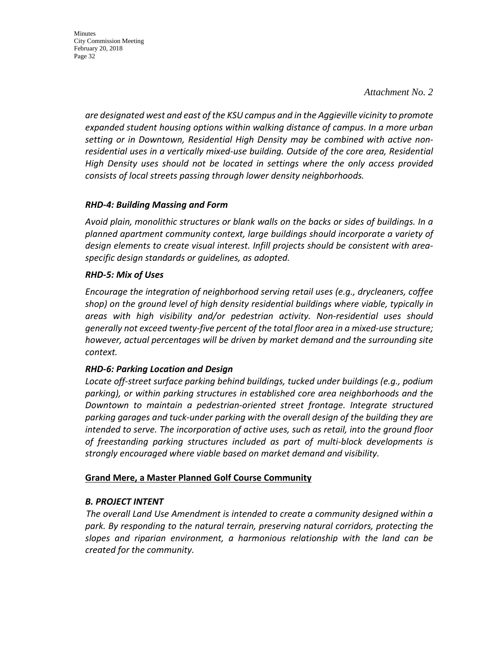*Attachment No. 2*

*are designated west and east of the KSU campus and in the Aggieville vicinity to promote expanded student housing options within walking distance of campus. In a more urban setting or in Downtown, Residential High Density may be combined with active nonresidential uses in a vertically mixed-use building. Outside of the core area, Residential High Density uses should not be located in settings where the only access provided consists of local streets passing through lower density neighborhoods.*

## *RHD-4: Building Massing and Form*

*Avoid plain, monolithic structures or blank walls on the backs or sides of buildings. In a planned apartment community context, large buildings should incorporate a variety of design elements to create visual interest. Infill projects should be consistent with areaspecific design standards or guidelines, as adopted.* 

## *RHD-5: Mix of Uses*

*Encourage the integration of neighborhood serving retail uses (e.g., drycleaners, coffee shop) on the ground level of high density residential buildings where viable, typically in areas with high visibility and/or pedestrian activity. Non-residential uses should generally not exceed twenty-five percent of the total floor area in a mixed-use structure; however, actual percentages will be driven by market demand and the surrounding site context.* 

# *RHD-6: Parking Location and Design*

*Locate off-street surface parking behind buildings, tucked under buildings (e.g., podium parking), or within parking structures in established core area neighborhoods and the Downtown to maintain a pedestrian-oriented street frontage. Integrate structured parking garages and tuck-under parking with the overall design of the building they are intended to serve. The incorporation of active uses, such as retail, into the ground floor of freestanding parking structures included as part of multi-block developments is strongly encouraged where viable based on market demand and visibility.*

# **Grand Mere, a Master Planned Golf Course Community**

#### *B. PROJECT INTENT*

 *The overall Land Use Amendment is intended to create a community designed within a park. By responding to the natural terrain, preserving natural corridors, protecting the slopes and riparian environment, a harmonious relationship with the land can be created for the community.*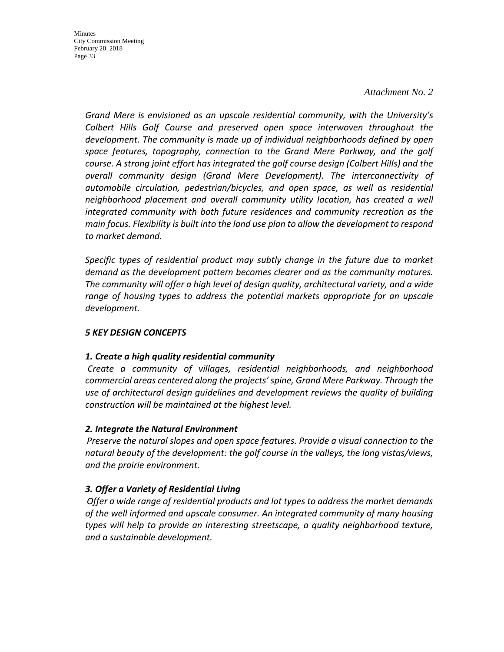#### *Attachment No. 2*

*Grand Mere is envisioned as an upscale residential community, with the University's Colbert Hills Golf Course and preserved open space interwoven throughout the development. The community is made up of individual neighborhoods defined by open space features, topography, connection to the Grand Mere Parkway, and the golf course. A strong joint effort has integrated the golf course design (Colbert Hills) and the overall community design (Grand Mere Development). The interconnectivity of automobile circulation, pedestrian/bicycles, and open space, as well as residential neighborhood placement and overall community utility location, has created a well integrated community with both future residences and community recreation as the main focus. Flexibility is built into the land use plan to allow the development to respond to market demand.*

*Specific types of residential product may subtly change in the future due to market demand as the development pattern becomes clearer and as the community matures. The community will offer a high level of design quality, architectural variety, and a wide*  range of housing types to address the potential markets appropriate for an upscale *development.*

#### *5 KEY DESIGN CONCEPTS*

#### *1. Create a high quality residential community*

 *Create a community of villages, residential neighborhoods, and neighborhood commercial areas centered along the projects' spine, Grand Mere Parkway. Through the use of architectural design guidelines and development reviews the quality of building construction will be maintained at the highest level.*

#### *2. Integrate the Natural Environment*

 *Preserve the natural slopes and open space features. Provide a visual connection to the natural beauty of the development: the golf course in the valleys, the long vistas/views, and the prairie environment.*

# *3. Offer a Variety of Residential Living*

 *Offer a wide range of residential products and lot types to address the market demands of the well informed and upscale consumer. An integrated community of many housing types will help to provide an interesting streetscape, a quality neighborhood texture, and a sustainable development.*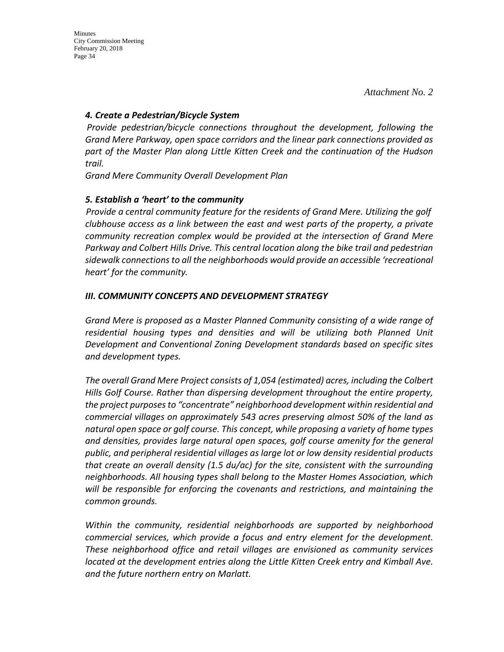## *4. Create a Pedestrian/Bicycle System*

 *Provide pedestrian/bicycle connections throughout the development, following the Grand Mere Parkway, open space corridors and the linear park connections provided as part of the Master Plan along Little Kitten Creek and the continuation of the Hudson trail.*

*Grand Mere Community Overall Development Plan* 

# *5. Establish a 'heart' to the community*

 *Provide a central community feature for the residents of Grand Mere. Utilizing the golf clubhouse access as a link between the east and west parts of the property, a private community recreation complex would be provided at the intersection of Grand Mere Parkway and Colbert Hills Drive. This central location along the bike trail and pedestrian sidewalk connections to all the neighborhoods would provide an accessible 'recreational heart' for the community.*

# *III. COMMUNITY CONCEPTS AND DEVELOPMENT STRATEGY*

*Grand Mere is proposed as a Master Planned Community consisting of a wide range of residential housing types and densities and will be utilizing both Planned Unit Development and Conventional Zoning Development standards based on specific sites and development types.*

*The overall Grand Mere Project consists of 1,054 (estimated) acres, including the Colbert Hills Golf Course. Rather than dispersing development throughout the entire property, the project purposes to "concentrate" neighborhood development within residential and commercial villages on approximately 543 acres preserving almost 50% of the land as natural open space or golf course. This concept, while proposing a variety of home types and densities, provides large natural open spaces, golf course amenity for the general public, and peripheral residential villages as large lot or low density residential products that create an overall density (1.5 du/ac) for the site, consistent with the surrounding neighborhoods. All housing types shall belong to the Master Homes Association, which will be responsible for enforcing the covenants and restrictions, and maintaining the common grounds.*

*Within the community, residential neighborhoods are supported by neighborhood commercial services, which provide a focus and entry element for the development. These neighborhood office and retail villages are envisioned as community services located at the development entries along the Little Kitten Creek entry and Kimball Ave. and the future northern entry on Marlatt.*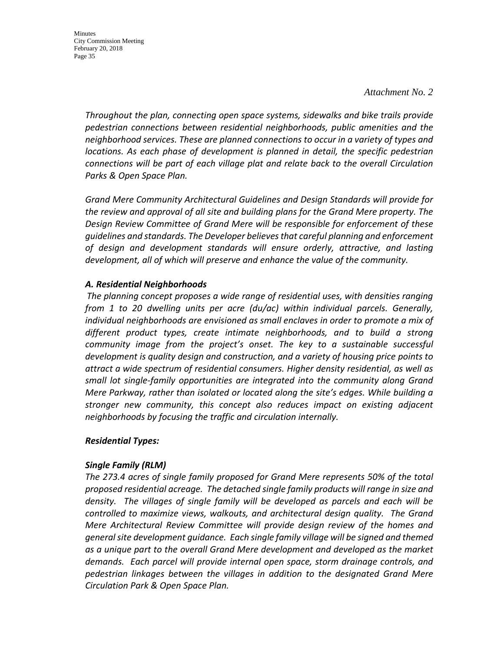#### *Attachment No. 2*

*Throughout the plan, connecting open space systems, sidewalks and bike trails provide pedestrian connections between residential neighborhoods, public amenities and the neighborhood services. These are planned connections to occur in a variety of types and locations. As each phase of development is planned in detail, the specific pedestrian connections will be part of each village plat and relate back to the overall Circulation Parks & Open Space Plan.*

*Grand Mere Community Architectural Guidelines and Design Standards will provide for the review and approval of all site and building plans for the Grand Mere property. The Design Review Committee of Grand Mere will be responsible for enforcement of these guidelines and standards. The Developer believes that careful planning and enforcement of design and development standards will ensure orderly, attractive, and lasting development, all of which will preserve and enhance the value of the community.*

## *A. Residential Neighborhoods*

 *The planning concept proposes a wide range of residential uses, with densities ranging from 1 to 20 dwelling units per acre (du/ac) within individual parcels. Generally, individual neighborhoods are envisioned as small enclaves in order to promote a mix of different product types, create intimate neighborhoods, and to build a strong community image from the project's onset. The key to a sustainable successful development is quality design and construction, and a variety of housing price points to attract a wide spectrum of residential consumers. Higher density residential, as well as small lot single-family opportunities are integrated into the community along Grand Mere Parkway, rather than isolated or located along the site's edges. While building a stronger new community, this concept also reduces impact on existing adjacent neighborhoods by focusing the traffic and circulation internally.*

# *Residential Types:*

# *Single Family (RLM)*

*The 273.4 acres of single family proposed for Grand Mere represents 50% of the total proposed residential acreage. The detached single family products will range in size and density. The villages of single family will be developed as parcels and each will be controlled to maximize views, walkouts, and architectural design quality. The Grand Mere Architectural Review Committee will provide design review of the homes and general site development guidance. Each single family village will be signed and themed as a unique part to the overall Grand Mere development and developed as the market demands. Each parcel will provide internal open space, storm drainage controls, and pedestrian linkages between the villages in addition to the designated Grand Mere Circulation Park & Open Space Plan.*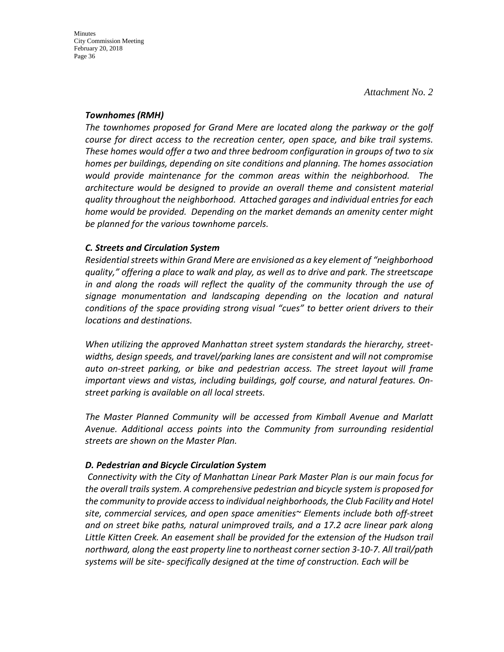## *Townhomes (RMH)*

*The townhomes proposed for Grand Mere are located along the parkway or the golf course for direct access to the recreation center, open space, and bike trail systems. These homes would offer a two and three bedroom configuration in groups of two to six homes per buildings, depending on site conditions and planning. The homes association would provide maintenance for the common areas within the neighborhood. The architecture would be designed to provide an overall theme and consistent material quality throughout the neighborhood. Attached garages and individual entries for each home would be provided. Depending on the market demands an amenity center might be planned for the various townhome parcels.* 

# *C. Streets and Circulation System*

*Residential streets within Grand Mere are envisioned as a key element of "neighborhood quality," offering a place to walk and play, as well as to drive and park. The streetscape in and along the roads will reflect the quality of the community through the use of signage monumentation and landscaping depending on the location and natural conditions of the space providing strong visual "cues" to better orient drivers to their locations and destinations.*

*When utilizing the approved Manhattan street system standards the hierarchy, streetwidths, design speeds, and travel/parking lanes are consistent and will not compromise auto on-street parking, or bike and pedestrian access. The street layout will frame important views and vistas, including buildings, golf course, and natural features. Onstreet parking is available on all local streets.*

*The Master Planned Community will be accessed from Kimball Avenue and Marlatt Avenue. Additional access points into the Community from surrounding residential streets are shown on the Master Plan.*

# *D. Pedestrian and Bicycle Circulation System*

 *Connectivity with the City of Manhattan Linear Park Master Plan is our main focus for the overall trails system. A comprehensive pedestrian and bicycle system is proposed for the community to provide access to individual neighborhoods, the Club Facility and Hotel site, commercial services, and open space amenities~ Elements include both off-street and on street bike paths, natural unimproved trails, and a 17.2 acre linear park along Little Kitten Creek. An easement shall be provided for the extension of the Hudson trail northward, along the east property line to northeast corner section 3-10-7. All trail/path systems will be site- specifically designed at the time of construction. Each will be*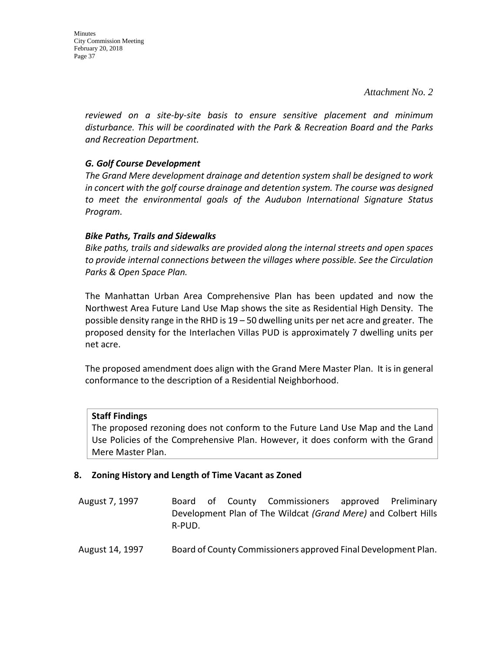*reviewed on a site-by-site basis to ensure sensitive placement and minimum disturbance. This will be coordinated with the Park & Recreation Board and the Parks and Recreation Department.*

# *G. Golf Course Development*

*The Grand Mere development drainage and detention system shall be designed to work in concert with the golf course drainage and detention system. The course was designed to meet the environmental goals of the Audubon International Signature Status Program.*

# *Bike Paths, Trails and Sidewalks*

*Bike paths, trails and sidewalks are provided along the internal streets and open spaces to provide internal connections between the villages where possible. See the Circulation Parks & Open Space Plan.*

The Manhattan Urban Area Comprehensive Plan has been updated and now the Northwest Area Future Land Use Map shows the site as Residential High Density. The possible density range in the RHD is 19 – 50 dwelling units per net acre and greater. The proposed density for the Interlachen Villas PUD is approximately 7 dwelling units per net acre.

The proposed amendment does align with the Grand Mere Master Plan. It is in general conformance to the description of a Residential Neighborhood.

# **Staff Findings**

The proposed rezoning does not conform to the Future Land Use Map and the Land Use Policies of the Comprehensive Plan. However, it does conform with the Grand Mere Master Plan.

# **8. Zoning History and Length of Time Vacant as Zoned**

- August 7, 1997 Board of County Commissioners approved Preliminary Development Plan of The Wildcat *(Grand Mere)* and Colbert Hills R-PUD.
- August 14, 1997 Board of County Commissioners approved Final Development Plan.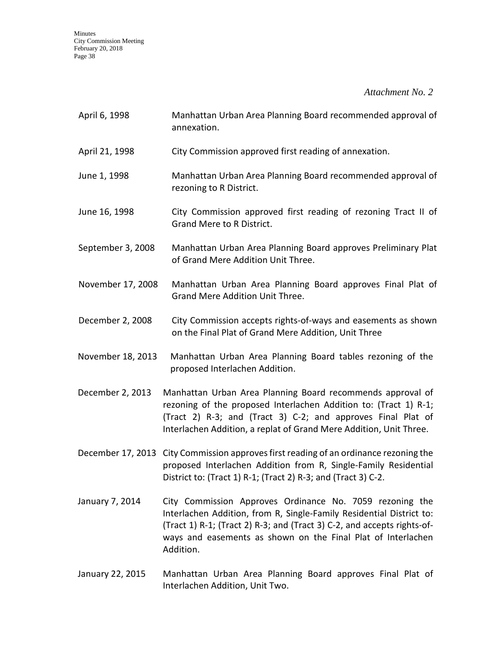*Attachment No. 2*

| April 6, 1998     | Manhattan Urban Area Planning Board recommended approval of<br>annexation.                                                                                                                                                                                                               |
|-------------------|------------------------------------------------------------------------------------------------------------------------------------------------------------------------------------------------------------------------------------------------------------------------------------------|
| April 21, 1998    | City Commission approved first reading of annexation.                                                                                                                                                                                                                                    |
| June 1, 1998      | Manhattan Urban Area Planning Board recommended approval of<br>rezoning to R District.                                                                                                                                                                                                   |
| June 16, 1998     | City Commission approved first reading of rezoning Tract II of<br>Grand Mere to R District.                                                                                                                                                                                              |
| September 3, 2008 | Manhattan Urban Area Planning Board approves Preliminary Plat<br>of Grand Mere Addition Unit Three.                                                                                                                                                                                      |
| November 17, 2008 | Manhattan Urban Area Planning Board approves Final Plat of<br>Grand Mere Addition Unit Three.                                                                                                                                                                                            |
| December 2, 2008  | City Commission accepts rights-of-ways and easements as shown<br>on the Final Plat of Grand Mere Addition, Unit Three                                                                                                                                                                    |
| November 18, 2013 | Manhattan Urban Area Planning Board tables rezoning of the<br>proposed Interlachen Addition.                                                                                                                                                                                             |
| December 2, 2013  | Manhattan Urban Area Planning Board recommends approval of<br>rezoning of the proposed Interlachen Addition to: (Tract 1) R-1;<br>(Tract 2) R-3; and (Tract 3) C-2; and approves Final Plat of<br>Interlachen Addition, a replat of Grand Mere Addition, Unit Three.                     |
|                   | December 17, 2013 City Commission approves first reading of an ordinance rezoning the<br>proposed Interlachen Addition from R, Single-Family Residential<br>District to: (Tract 1) R-1; (Tract 2) R-3; and (Tract 3) C-2.                                                                |
| January 7, 2014   | City Commission Approves Ordinance No. 7059 rezoning the<br>Interlachen Addition, from R, Single-Family Residential District to:<br>(Tract 1) R-1; (Tract 2) R-3; and (Tract 3) C-2, and accepts rights-of-<br>ways and easements as shown on the Final Plat of Interlachen<br>Addition. |
|                   |                                                                                                                                                                                                                                                                                          |

January 22, 2015 Manhattan Urban Area Planning Board approves Final Plat of Interlachen Addition, Unit Two.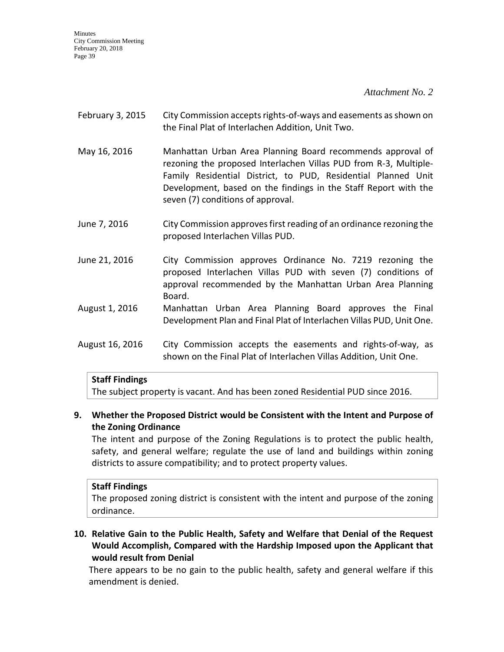*Attachment No. 2*

- February 3, 2015 City Commission accepts rights-of-ways and easements as shown on the Final Plat of Interlachen Addition, Unit Two.
- May 16, 2016 Manhattan Urban Area Planning Board recommends approval of rezoning the proposed Interlachen Villas PUD from R-3, Multiple-Family Residential District, to PUD, Residential Planned Unit Development, based on the findings in the Staff Report with the seven (7) conditions of approval.
- June 7, 2016 City Commission approves first reading of an ordinance rezoning the proposed Interlachen Villas PUD.
- June 21, 2016 City Commission approves Ordinance No. 7219 rezoning the proposed Interlachen Villas PUD with seven (7) conditions of approval recommended by the Manhattan Urban Area Planning Board.
- August 1, 2016 Manhattan Urban Area Planning Board approves the Final Development Plan and Final Plat of Interlachen Villas PUD, Unit One.
- August 16, 2016 City Commission accepts the easements and rights-of-way, as shown on the Final Plat of Interlachen Villas Addition, Unit One.

# **Staff Findings**

The subject property is vacant. And has been zoned Residential PUD since 2016.

# **9. Whether the Proposed District would be Consistent with the Intent and Purpose of the Zoning Ordinance**

The intent and purpose of the Zoning Regulations is to protect the public health, safety, and general welfare; regulate the use of land and buildings within zoning districts to assure compatibility; and to protect property values.

#### **Staff Findings**

The proposed zoning district is consistent with the intent and purpose of the zoning ordinance.

**10. Relative Gain to the Public Health, Safety and Welfare that Denial of the Request Would Accomplish, Compared with the Hardship Imposed upon the Applicant that would result from Denial**

There appears to be no gain to the public health, safety and general welfare if this amendment is denied.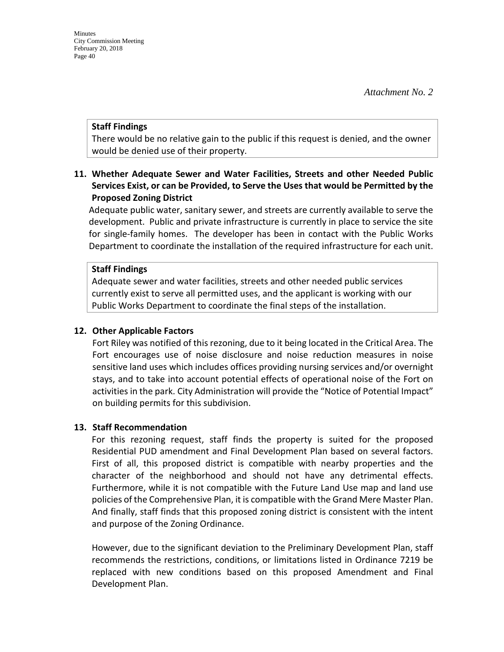#### **Staff Findings**

There would be no relative gain to the public if this request is denied, and the owner would be denied use of their property.

# **11. Whether Adequate Sewer and Water Facilities, Streets and other Needed Public Services Exist, or can be Provided, to Serve the Uses that would be Permitted by the Proposed Zoning District**

Adequate public water, sanitary sewer, and streets are currently available to serve the development. Public and private infrastructure is currently in place to service the site for single-family homes. The developer has been in contact with the Public Works Department to coordinate the installation of the required infrastructure for each unit.

#### **Staff Findings**

Adequate sewer and water facilities, streets and other needed public services currently exist to serve all permitted uses, and the applicant is working with our Public Works Department to coordinate the final steps of the installation.

#### **12. Other Applicable Factors**

Fort Riley was notified of this rezoning, due to it being located in the Critical Area. The Fort encourages use of noise disclosure and noise reduction measures in noise sensitive land uses which includes offices providing nursing services and/or overnight stays, and to take into account potential effects of operational noise of the Fort on activities in the park. City Administration will provide the "Notice of Potential Impact" on building permits for this subdivision.

#### **13. Staff Recommendation**

For this rezoning request, staff finds the property is suited for the proposed Residential PUD amendment and Final Development Plan based on several factors. First of all, this proposed district is compatible with nearby properties and the character of the neighborhood and should not have any detrimental effects. Furthermore, while it is not compatible with the Future Land Use map and land use policies of the Comprehensive Plan, it is compatible with the Grand Mere Master Plan. And finally, staff finds that this proposed zoning district is consistent with the intent and purpose of the Zoning Ordinance.

However, due to the significant deviation to the Preliminary Development Plan, staff recommends the restrictions, conditions, or limitations listed in Ordinance 7219 be replaced with new conditions based on this proposed Amendment and Final Development Plan.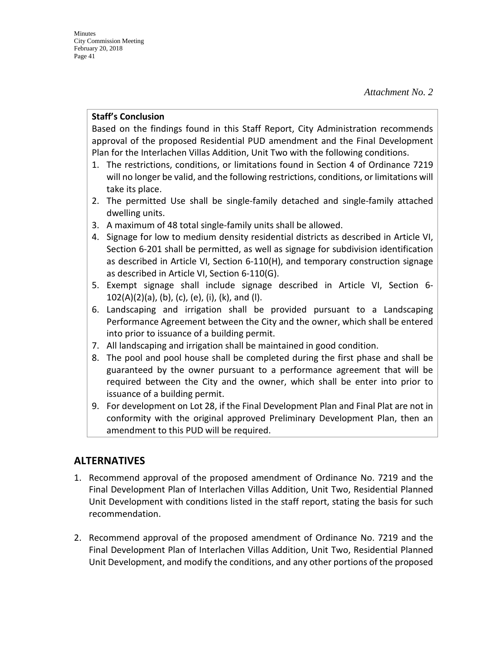### **Staff's Conclusion**

Based on the findings found in this Staff Report, City Administration recommends approval of the proposed Residential PUD amendment and the Final Development Plan for the Interlachen Villas Addition, Unit Two with the following conditions.

- 1. The restrictions, conditions, or limitations found in Section 4 of Ordinance 7219 will no longer be valid, and the following restrictions, conditions, or limitations will take its place.
- 2. The permitted Use shall be single-family detached and single-family attached dwelling units.
- 3. A maximum of 48 total single-family units shall be allowed.
- 4. Signage for low to medium density residential districts as described in Article VI, Section 6-201 shall be permitted, as well as signage for subdivision identification as described in Article VI, Section 6-110(H), and temporary construction signage as described in Article VI, Section 6-110(G).
- 5. Exempt signage shall include signage described in Article VI, Section 6-  $102(A)(2)(a)$ , (b), (c), (e), (i), (k), and (l).
- 6. Landscaping and irrigation shall be provided pursuant to a Landscaping Performance Agreement between the City and the owner, which shall be entered into prior to issuance of a building permit.
- 7. All landscaping and irrigation shall be maintained in good condition.
- 8. The pool and pool house shall be completed during the first phase and shall be guaranteed by the owner pursuant to a performance agreement that will be required between the City and the owner, which shall be enter into prior to issuance of a building permit.
- 9. For development on Lot 28, if the Final Development Plan and Final Plat are not in conformity with the original approved Preliminary Development Plan, then an amendment to this PUD will be required.

# **ALTERNATIVES**

- 1. Recommend approval of the proposed amendment of Ordinance No. 7219 and the Final Development Plan of Interlachen Villas Addition, Unit Two, Residential Planned Unit Development with conditions listed in the staff report, stating the basis for such recommendation.
- 2. Recommend approval of the proposed amendment of Ordinance No. 7219 and the Final Development Plan of Interlachen Villas Addition, Unit Two, Residential Planned Unit Development, and modify the conditions, and any other portions of the proposed